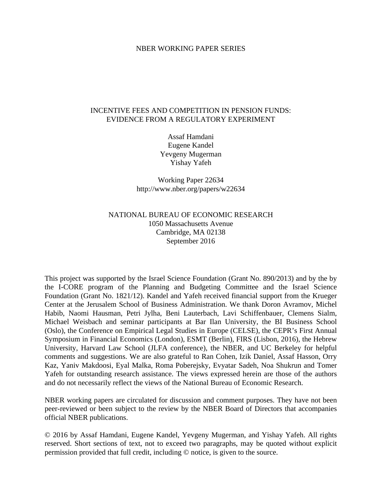#### NBER WORKING PAPER SERIES

# INCENTIVE FEES AND COMPETITION IN PENSION FUNDS: EVIDENCE FROM A REGULATORY EXPERIMENT

Assaf Hamdani Eugene Kandel Yevgeny Mugerman Yishay Yafeh

Working Paper 22634 http://www.nber.org/papers/w22634

# NATIONAL BUREAU OF ECONOMIC RESEARCH 1050 Massachusetts Avenue Cambridge, MA 02138 September 2016

This project was supported by the Israel Science Foundation (Grant No. 890/2013) and by the by the I-CORE program of the Planning and Budgeting Committee and the Israel Science Foundation (Grant No. 1821/12). Kandel and Yafeh received financial support from the Krueger Center at the Jerusalem School of Business Administration. We thank Doron Avramov, Michel Habib, Naomi Hausman, Petri Jylha, Beni Lauterbach, Lavi Schiffenbauer, Clemens Sialm, Michael Weisbach and seminar participants at Bar Ilan University, the BI Business School (Oslo), the Conference on Empirical Legal Studies in Europe (CELSE), the CEPR's First Annual Symposium in Financial Economics (London), ESMT (Berlin), FIRS (Lisbon, 2016), the Hebrew University, Harvard Law School (JLFA conference), the NBER, and UC Berkeley for helpful comments and suggestions. We are also grateful to Ran Cohen, Izik Daniel, Assaf Hasson, Orry Kaz, Yaniv Makdoosi, Eyal Malka, Roma Poberejsky, Evyatar Sadeh, Noa Shukrun and Tomer Yafeh for outstanding research assistance. The views expressed herein are those of the authors and do not necessarily reflect the views of the National Bureau of Economic Research.

NBER working papers are circulated for discussion and comment purposes. They have not been peer-reviewed or been subject to the review by the NBER Board of Directors that accompanies official NBER publications.

© 2016 by Assaf Hamdani, Eugene Kandel, Yevgeny Mugerman, and Yishay Yafeh. All rights reserved. Short sections of text, not to exceed two paragraphs, may be quoted without explicit permission provided that full credit, including © notice, is given to the source.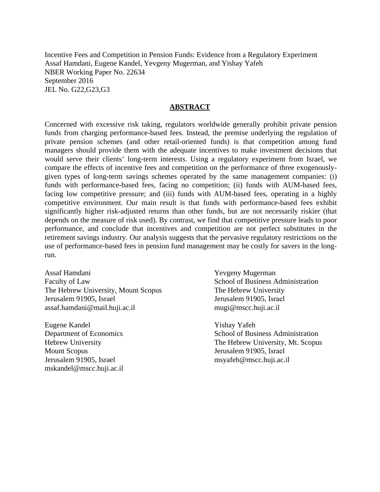Incentive Fees and Competition in Pension Funds: Evidence from a Regulatory Experiment Assaf Hamdani, Eugene Kandel, Yevgeny Mugerman, and Yishay Yafeh NBER Working Paper No. 22634 September 2016 JEL No. G22,G23,G3

#### **ABSTRACT**

Concerned with excessive risk taking, regulators worldwide generally prohibit private pension funds from charging performance-based fees. Instead, the premise underlying the regulation of private pension schemes (and other retail-oriented funds) is that competition among fund managers should provide them with the adequate incentives to make investment decisions that would serve their clients' long-term interests. Using a regulatory experiment from Israel, we compare the effects of incentive fees and competition on the performance of three exogenouslygiven types of long-term savings schemes operated by the same management companies: (i) funds with performance-based fees, facing no competition; (ii) funds with AUM-based fees, facing low competitive pressure; and (iii) funds with AUM-based fees, operating in a highly competitive environment. Our main result is that funds with performance-based fees exhibit significantly higher risk-adjusted returns than other funds, but are not necessarily riskier (that depends on the measure of risk used). By contrast, we find that competitive pressure leads to poor performance, and conclude that incentives and competition are not perfect substitutes in the retirement savings industry. Our analysis suggests that the pervasive regulatory restrictions on the use of performance-based fees in pension fund management may be costly for savers in the longrun.

Assaf Hamdani Faculty of Law The Hebrew University, Mount Scopus Jerusalem 91905, Israel assaf.hamdani@mail.huji.ac.il

Eugene Kandel Department of Economics Hebrew University Mount Scopus Jerusalem 91905, Israel mskandel@mscc.huji.ac.il Yevgeny Mugerman School of Business Administration The Hebrew University Jerusalem 91905, Israel mugi@mscc.huji.ac.il

Yishay Yafeh School of Business Administration The Hebrew University, Mt. Scopus Jerusalem 91905, Israel msyafeh@mscc.huji.ac.il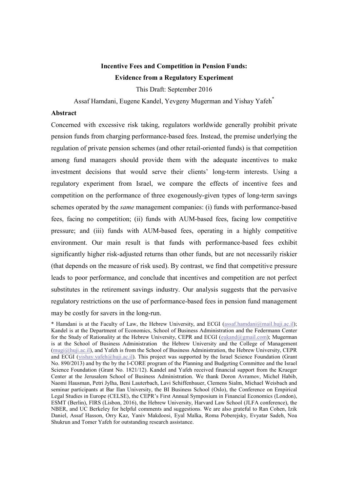# **Incentive Fees and Competition in Pension Funds: Evidence from a Regulatory Experiment**  This Draft: September 2016

Assaf Hamdani, Eugene Kandel, Yevgeny Mugerman and Yishay Yafeh\*

#### **Abstract**

Concerned with excessive risk taking, regulators worldwide generally prohibit private pension funds from charging performance-based fees. Instead, the premise underlying the regulation of private pension schemes (and other retail-oriented funds) is that competition among fund managers should provide them with the adequate incentives to make investment decisions that would serve their clients' long-term interests. Using a regulatory experiment from Israel, we compare the effects of incentive fees and competition on the performance of three exogenously-given types of long-term savings schemes operated by the *same* management companies: (i) funds with performance-based fees, facing no competition; (ii) funds with AUM-based fees, facing low competitive pressure; and (iii) funds with AUM-based fees, operating in a highly competitive environment. Our main result is that funds with performance-based fees exhibit significantly higher risk-adjusted returns than other funds, but are not necessarily riskier (that depends on the measure of risk used). By contrast, we find that competitive pressure leads to poor performance, and conclude that incentives and competition are not perfect substitutes in the retirement savings industry. Our analysis suggests that the pervasive regulatory restrictions on the use of performance-based fees in pension fund management may be costly for savers in the long-run.

<sup>\*</sup> Hamdani is at the Faculty of Law, the Hebrew University, and ECGI (assaf.hamdani@mail.huji.ac.il); Kandel is at the Department of Economics, School of Business Administration and the Federmann Center for the Study of Rationality at the Hebrew University, CEPR and ECGI (eukand@gmail.com); Mugerman is at the School of Business Administration the Hebrew University and the College of Management (mugi@huji.ac.il), and Yafeh is from the School of Business Administration, the Hebrew University, CEPR and ECGI (yishay.yafeh@huji.ac.il). This project was supported by the Israel Science Foundation (Grant No. 890/2013) and by the by the I-CORE program of the Planning and Budgeting Committee and the Israel Science Foundation (Grant No. 1821/12). Kandel and Yafeh received financial support from the Krueger Center at the Jerusalem School of Business Administration. We thank Doron Avramov, Michel Habib, Naomi Hausman, Petri Jylha, Beni Lauterbach, Lavi Schiffenbauer, Clemens Sialm, Michael Weisbach and seminar participants at Bar Ilan University, the BI Business School (Oslo), the Conference on Empirical Legal Studies in Europe (CELSE), the CEPR's First Annual Symposium in Financial Economics (London), ESMT (Berlin), FIRS (Lisbon, 2016), the Hebrew University, Harvard Law School (JLFA conference), the NBER, and UC Berkeley for helpful comments and suggestions. We are also grateful to Ran Cohen, Izik Daniel, Assaf Hasson, Orry Kaz, Yaniv Makdoosi, Eyal Malka, Roma Poberejsky, Evyatar Sadeh, Noa Shukrun and Tomer Yafeh for outstanding research assistance.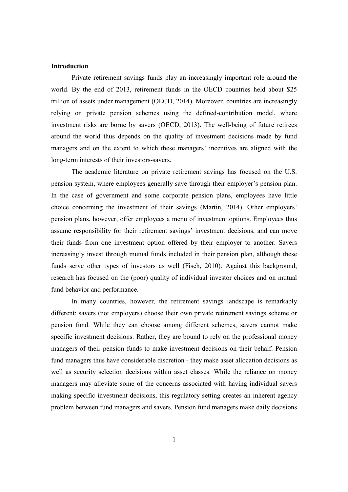## **Introduction**

Private retirement savings funds play an increasingly important role around the world. By the end of 2013, retirement funds in the OECD countries held about \$25 trillion of assets under management (OECD, 2014). Moreover, countries are increasingly relying on private pension schemes using the defined-contribution model, where investment risks are borne by savers (OECD, 2013). The well-being of future retirees around the world thus depends on the quality of investment decisions made by fund managers and on the extent to which these managers' incentives are aligned with the long-term interests of their investors-savers.

 The academic literature on private retirement savings has focused on the U.S. pension system, where employees generally save through their employer's pension plan. In the case of government and some corporate pension plans, employees have little choice concerning the investment of their savings (Martin, 2014). Other employers' pension plans, however, offer employees a menu of investment options. Employees thus assume responsibility for their retirement savings' investment decisions, and can move their funds from one investment option offered by their employer to another. Savers increasingly invest through mutual funds included in their pension plan, although these funds serve other types of investors as well (Fisch, 2010). Against this background, research has focused on the (poor) quality of individual investor choices and on mutual fund behavior and performance.

In many countries, however, the retirement savings landscape is remarkably different: savers (not employers) choose their own private retirement savings scheme or pension fund. While they can choose among different schemes, savers cannot make specific investment decisions. Rather, they are bound to rely on the professional money managers of their pension funds to make investment decisions on their behalf. Pension fund managers thus have considerable discretion - they make asset allocation decisions as well as security selection decisions within asset classes. While the reliance on money managers may alleviate some of the concerns associated with having individual savers making specific investment decisions, this regulatory setting creates an inherent agency problem between fund managers and savers. Pension fund managers make daily decisions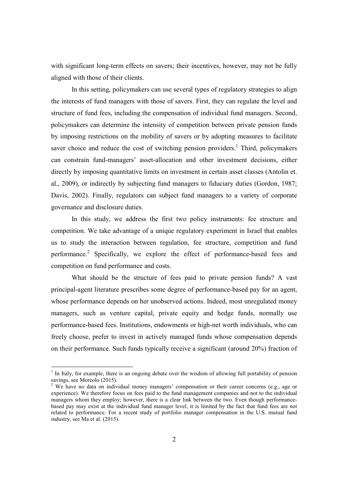with significant long-term effects on savers; their incentives, however, may not be fully aligned with those of their clients.

 In this setting, policymakers can use several types of regulatory strategies to align the interests of fund managers with those of savers. First, they can regulate the level and structure of fund fees, including the compensation of individual fund managers. Second, policymakers can determine the intensity of competition between private pension funds by imposing restrictions on the mobility of savers or by adopting measures to facilitate saver choice and reduce the cost of switching pension providers.<sup>1</sup> Third, policymakers can constrain fund-managers' asset-allocation and other investment decisions, either directly by imposing quantitative limits on investment in certain asset classes (Antolin et. al., 2009), or indirectly by subjecting fund managers to fiduciary duties (Gordon, 1987; Davis, 2002). Finally, regulators can subject fund managers to a variety of corporate governance and disclosure duties.

 In this study, we address the first two policy instruments: fee structure and competition. We take advantage of a unique regulatory experiment in Israel that enables us to study the interaction between regulation, fee structure, competition and fund performance.<sup>2</sup> Specifically, we explore the effect of performance-based fees and competition on fund performance and costs.

What should be the structure of fees paid to private pension funds? A vast principal-agent literature prescribes some degree of performance-based pay for an agent, whose performance depends on her unobserved actions. Indeed, most unregulated money managers, such as venture capital, private equity and hedge funds, normally use performance-based fees. Institutions, endowments or high-net worth individuals, who can freely choose, prefer to invest in actively managed funds whose compensation depends on their performance. Such funds typically receive a significant (around 20%) fraction of

<sup>&</sup>lt;sup>1</sup> In Italy, for example, there is an ongoing debate over the wisdom of allowing full portability of pension savings, see Moreolo (2015).

<sup>&</sup>lt;sup>2</sup> We have no data on individual money managers' compensation or their career concerns (e.g., age or experience). We therefore focus on fees paid to the fund management companies and not to the individual managers whom they employ; however, there is a clear link between the two. Even though performancebased pay may exist at the individual fund manager level, it is limited by the fact that fund fees are not related to performance. For a recent study of portfolio manager compensation in the U.S. mutual fund industry, see Ma et al. (2015).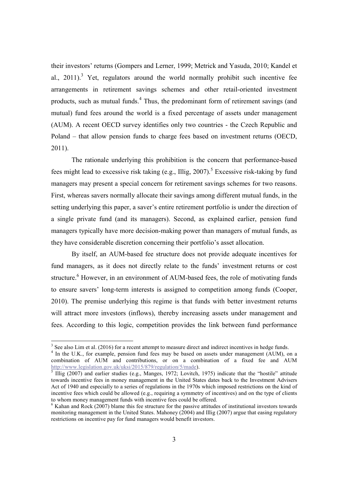their investors' returns (Gompers and Lerner, 1999; Metrick and Yasuda, 2010; Kandel et al.,  $2011$ ).<sup>3</sup> Yet, regulators around the world normally prohibit such incentive fee arrangements in retirement savings schemes and other retail-oriented investment products, such as mutual funds.<sup>4</sup> Thus, the predominant form of retirement savings (and mutual) fund fees around the world is a fixed percentage of assets under management (AUM). A recent OECD survey identifies only two countries - the Czech Republic and Poland – that allow pension funds to charge fees based on investment returns (OECD, 2011).

The rationale underlying this prohibition is the concern that performance-based fees might lead to excessive risk taking (e.g., Illig, 2007).<sup>5</sup> Excessive risk-taking by fund managers may present a special concern for retirement savings schemes for two reasons. First, whereas savers normally allocate their savings among different mutual funds, in the setting underlying this paper, a saver's entire retirement portfolio is under the direction of a single private fund (and its managers). Second, as explained earlier, pension fund managers typically have more decision-making power than managers of mutual funds, as they have considerable discretion concerning their portfolio's asset allocation.

 By itself, an AUM-based fee structure does not provide adequate incentives for fund managers, as it does not directly relate to the funds' investment returns or cost structure.<sup>6</sup> However, in an environment of AUM-based fees, the role of motivating funds to ensure savers' long-term interests is assigned to competition among funds (Cooper, 2010). The premise underlying this regime is that funds with better investment returns will attract more investors (inflows), thereby increasing assets under management and fees. According to this logic, competition provides the link between fund performance

 $3$  See also Lim et al. (2016) for a recent attempt to measure direct and indirect incentives in hedge funds.

<sup>&</sup>lt;sup>4</sup> In the U.K., for example, pension fund fees may be based on assets under management (AUM), on a combination of AUM and contributions, or on a combination of a fixed fee and AUM http://www.legislation.gov.uk/uksi/2015/879/regulation/5/made).

<sup>5</sup> Illig (2007) and earlier studies (e.g., Manges, 1972; Lovitch, 1975) indicate that the "hostile" attitude towards incentive fees in money management in the United States dates back to the Investment Advisers Act of 1940 and especially to a series of regulations in the 1970s which imposed restrictions on the kind of incentive fees which could be allowed (e.g., requiring a symmetry of incentives) and on the type of clients to whom money management funds with incentive fees could be offered.

 $<sup>6</sup>$  Kahan and Rock (2007) blame this fee structure for the passive attitudes of institutional investors towards</sup> monitoring management in the United States. Mahoney  $(2004)$  and Illig (2007) argue that easing regulatory restrictions on incentive pay for fund managers would benefit investors.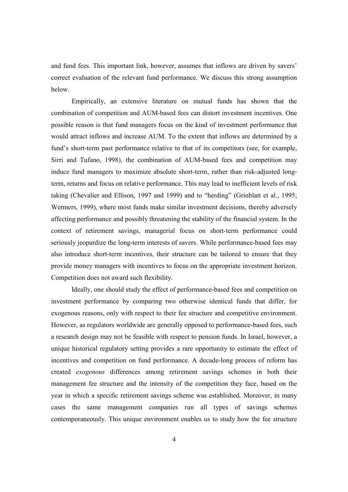and fund fees. This important link, however, assumes that inflows are driven by savers' correct evaluation of the relevant fund performance. We discuss this strong assumption below.

 Empirically, an extensive literature on mutual funds has shown that the combination of competition and AUM-based fees can distort investment incentives. One possible reason is that fund managers focus on the kind of investment performance that would attract inflows and increase AUM. To the extent that inflows are determined by a fund's short-term past performance relative to that of its competitors (see, for example, Sirri and Tufano, 1998), the combination of AUM-based fees and competition may induce fund managers to maximize absolute short-term, rather than risk-adjusted longterm, returns and focus on relative performance. This may lead to inefficient levels of risk taking (Chevalier and Ellison, 1997 and 1999) and to "herding" (Grinblatt et al., 1995; Wermers, 1999), where most funds make similar investment decisions, thereby adversely affecting performance and possibly threatening the stability of the financial system. In the context of retirement savings, managerial focus on short-term performance could seriously jeopardize the long-term interests of savers. While performance-based fees may also introduce short-term incentives, their structure can be tailored to ensure that they provide money managers with incentives to focus on the appropriate investment horizon. Competition does not award such flexibility.

Ideally, one should study the effect of performance-based fees and competition on investment performance by comparing two otherwise identical funds that differ, for exogenous reasons, only with respect to their fee structure and competitive environment. However, as regulators worldwide are generally opposed to performance-based fees, such a research design may not be feasible with respect to pension funds. In Israel, however, a unique historical regulatory setting provides a rare opportunity to estimate the effect of incentives and competition on fund performance. A decade-long process of reform has created *exogenous* differences among retirement savings schemes in both their management fee structure and the intensity of the competition they face, based on the year in which a specific retirement savings scheme was established. Moreover, in many cases the same management companies run all types of savings schemes contemporaneously. This unique environment enables us to study how the fee structure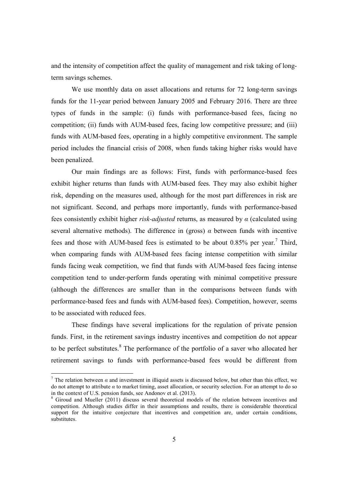and the intensity of competition affect the quality of management and risk taking of longterm savings schemes.

 We use monthly data on asset allocations and returns for 72 long-term savings funds for the 11-year period between January 2005 and February 2016. There are three types of funds in the sample: (i) funds with performance-based fees, facing no competition; (ii) funds with AUM-based fees, facing low competitive pressure; and (iii) funds with AUM-based fees, operating in a highly competitive environment. The sample period includes the financial crisis of 2008, when funds taking higher risks would have been penalized.

 Our main findings are as follows: First, funds with performance-based fees exhibit higher returns than funds with AUM-based fees. They may also exhibit higher risk, depending on the measures used, although for the most part differences in risk are not significant. Second, and perhaps more importantly, funds with performance-based fees consistently exhibit higher *risk-adjusted* returns, as measured by *α* (calculated using several alternative methods). The difference in (gross)  $\alpha$  between funds with incentive fees and those with AUM-based fees is estimated to be about  $0.85\%$  per year.<sup>7</sup> Third, when comparing funds with AUM-based fees facing intense competition with similar funds facing weak competition, we find that funds with AUM-based fees facing intense competition tend to under-perform funds operating with minimal competitive pressure (although the differences are smaller than in the comparisons between funds with performance-based fees and funds with AUM-based fees). Competition, however, seems to be associated with reduced fees.

 These findings have several implications for the regulation of private pension funds. First, in the retirement savings industry incentives and competition do not appear to be perfect substitutes.<sup>8</sup> The performance of the portfolio of a saver who allocated her retirement savings to funds with performance-based fees would be different from

<sup>&</sup>lt;sup>7</sup> The relation between  $\alpha$  and investment in illiquid assets is discussed below, but other than this effect, we do not attempt to attribute *α* to market timing, asset allocation, or security selection. For an attempt to do so in the context of U.S. pension funds, see Andonov et al. (2013).

<sup>&</sup>lt;sup>8</sup> Giroud and Mueller (2011) discuss several theoretical models of the relation between incentives and competition. Although studies differ in their assumptions and results, there is considerable theoretical support for the intuitive conjecture that incentives and competition are, under certain conditions, substitutes.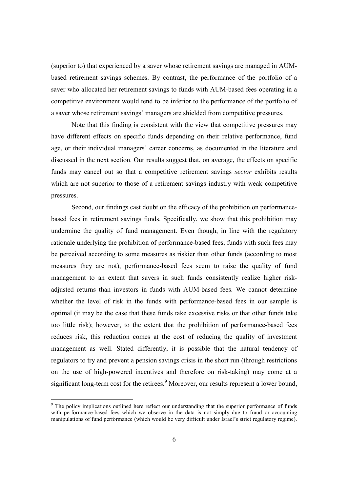(superior to) that experienced by a saver whose retirement savings are managed in AUMbased retirement savings schemes. By contrast, the performance of the portfolio of a saver who allocated her retirement savings to funds with AUM-based fees operating in a competitive environment would tend to be inferior to the performance of the portfolio of a saver whose retirement savings' managers are shielded from competitive pressures.

Note that this finding is consistent with the view that competitive pressures may have different effects on specific funds depending on their relative performance, fund age, or their individual managers' career concerns, as documented in the literature and discussed in the next section. Our results suggest that, on average, the effects on specific funds may cancel out so that a competitive retirement savings *sector* exhibits results which are not superior to those of a retirement savings industry with weak competitive pressures.

Second, our findings cast doubt on the efficacy of the prohibition on performancebased fees in retirement savings funds. Specifically, we show that this prohibition may undermine the quality of fund management. Even though, in line with the regulatory rationale underlying the prohibition of performance-based fees, funds with such fees may be perceived according to some measures as riskier than other funds (according to most measures they are not), performance-based fees seem to raise the quality of fund management to an extent that savers in such funds consistently realize higher riskadjusted returns than investors in funds with AUM-based fees. We cannot determine whether the level of risk in the funds with performance-based fees in our sample is optimal (it may be the case that these funds take excessive risks or that other funds take too little risk); however, to the extent that the prohibition of performance-based fees reduces risk, this reduction comes at the cost of reducing the quality of investment management as well. Stated differently, it is possible that the natural tendency of regulators to try and prevent a pension savings crisis in the short run (through restrictions on the use of high-powered incentives and therefore on risk-taking) may come at a significant long-term cost for the retirees.<sup>9</sup> Moreover, our results represent a lower bound,

<sup>&</sup>lt;sup>9</sup> The policy implications outlined here reflect our understanding that the superior performance of funds with performance-based fees which we observe in the data is not simply due to fraud or accounting manipulations of fund performance (which would be very difficult under Israel's strict regulatory regime).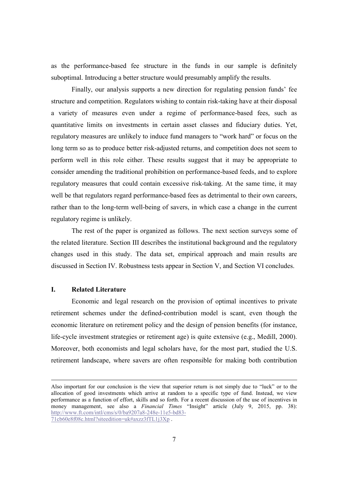as the performance-based fee structure in the funds in our sample is definitely suboptimal. Introducing a better structure would presumably amplify the results.

 Finally, our analysis supports a new direction for regulating pension funds' fee structure and competition. Regulators wishing to contain risk-taking have at their disposal a variety of measures even under a regime of performance-based fees, such as quantitative limits on investments in certain asset classes and fiduciary duties. Yet, regulatory measures are unlikely to induce fund managers to "work hard" or focus on the long term so as to produce better risk-adjusted returns, and competition does not seem to perform well in this role either. These results suggest that it may be appropriate to consider amending the traditional prohibition on performance-based feeds, and to explore regulatory measures that could contain excessive risk-taking. At the same time, it may well be that regulators regard performance-based fees as detrimental to their own careers, rather than to the long-term well-being of savers, in which case a change in the current regulatory regime is unlikely.

 The rest of the paper is organized as follows. The next section surveys some of the related literature. Section III describes the institutional background and the regulatory changes used in this study. The data set, empirical approach and main results are discussed in Section IV. Robustness tests appear in Section V, and Section VI concludes.

# **I. Related Literature**

 $\overline{a}$ 

 Economic and legal research on the provision of optimal incentives to private retirement schemes under the defined-contribution model is scant, even though the economic literature on retirement policy and the design of pension benefits (for instance, life-cycle investment strategies or retirement age) is quite extensive (e.g., Medill, 2000). Moreover, both economists and legal scholars have, for the most part, studied the U.S. retirement landscape, where savers are often responsible for making both contribution

Also important for our conclusion is the view that superior return is not simply due to "luck" or to the allocation of good investments which arrive at random to a specific type of fund. Instead, we view performance as a function of effort, skills and so forth. For a recent discussion of the use of incentives in money management, see also a *Financial Times* "Insight" article (July 9, 2015, pp. 38): http://www.ft.com/intl/cms/s/0/ba9207a8-248e-11e5-bd83- 71cb60e8f08c.html?siteedition=uk#axzz3fTL1j3Xp .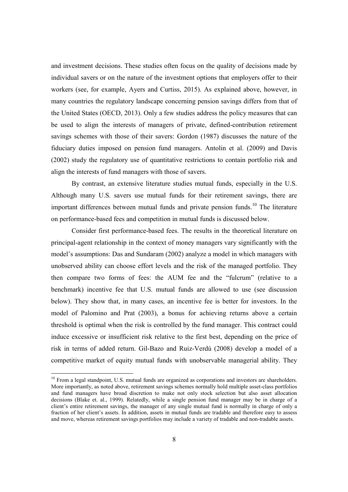and investment decisions. These studies often focus on the quality of decisions made by individual savers or on the nature of the investment options that employers offer to their workers (see, for example, Ayers and Curtiss, 2015). As explained above, however, in many countries the regulatory landscape concerning pension savings differs from that of the United States (OECD, 2013). Only a few studies address the policy measures that can be used to align the interests of managers of private, defined-contribution retirement savings schemes with those of their savers: Gordon (1987) discusses the nature of the fiduciary duties imposed on pension fund managers. Antolin et al. (2009) and Davis (2002) study the regulatory use of quantitative restrictions to contain portfolio risk and align the interests of fund managers with those of savers.

 By contrast, an extensive literature studies mutual funds, especially in the U.S. Although many U.S. savers use mutual funds for their retirement savings, there are important differences between mutual funds and private pension funds.<sup>10</sup> The literature on performance-based fees and competition in mutual funds is discussed below.

 Consider first performance-based fees. The results in the theoretical literature on principal-agent relationship in the context of money managers vary significantly with the model's assumptions: Das and Sundaram (2002) analyze a model in which managers with unobserved ability can choose effort levels and the risk of the managed portfolio. They then compare two forms of fees: the AUM fee and the "fulcrum" (relative to a benchmark) incentive fee that U.S. mutual funds are allowed to use (see discussion below). They show that, in many cases, an incentive fee is better for investors. In the model of Palomino and Prat (2003), a bonus for achieving returns above a certain threshold is optimal when the risk is controlled by the fund manager. This contract could induce excessive or insufficient risk relative to the first best, depending on the price of risk in terms of added return. Gil-Bazo and Ruiz-Verdú (2008) develop a model of a competitive market of equity mutual funds with unobservable managerial ability. They

 $10$  From a legal standpoint, U.S. mutual funds are organized as corporations and investors are shareholders. More importantly, as noted above, retirement savings schemes normally hold multiple asset-class portfolios and fund managers have broad discretion to make not only stock selection but also asset allocation decisions (Blake et. al., 1999). Relatedly, while a single pension fund manager may be in charge of a client's entire retirement savings, the manager of any single mutual fund is normally in charge of only a fraction of her client's assets. In addition, assets in mutual funds are tradable and therefore easy to assess and move, whereas retirement savings portfolios may include a variety of tradable and non-tradable assets.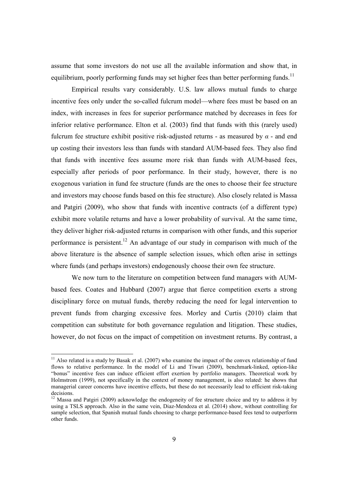assume that some investors do not use all the available information and show that, in equilibrium, poorly performing funds may set higher fees than better performing funds.<sup>11</sup>

 Empirical results vary considerably. U.S. law allows mutual funds to charge incentive fees only under the so-called fulcrum model—where fees must be based on an index, with increases in fees for superior performance matched by decreases in fees for inferior relative performance. Elton et al. (2003) find that funds with this (rarely used) fulcrum fee structure exhibit positive risk-adjusted returns - as measured by *α* - and end up costing their investors less than funds with standard AUM-based fees. They also find that funds with incentive fees assume more risk than funds with AUM-based fees, especially after periods of poor performance. In their study, however, there is no exogenous variation in fund fee structure (funds are the ones to choose their fee structure and investors may choose funds based on this fee structure). Also closely related is Massa and Patgiri (2009), who show that funds with incentive contracts (of a different type) exhibit more volatile returns and have a lower probability of survival. At the same time, they deliver higher risk-adjusted returns in comparison with other funds, and this superior performance is persistent.<sup>12</sup> An advantage of our study in comparison with much of the above literature is the absence of sample selection issues, which often arise in settings where funds (and perhaps investors) endogenously choose their own fee structure.

 We now turn to the literature on competition between fund managers with AUMbased fees. Coates and Hubbard (2007) argue that fierce competition exerts a strong disciplinary force on mutual funds, thereby reducing the need for legal intervention to prevent funds from charging excessive fees. Morley and Curtis (2010) claim that competition can substitute for both governance regulation and litigation. These studies, however, do not focus on the impact of competition on investment returns. By contrast, a

 $11$  Also related is a study by Basak et al. (2007) who examine the impact of the convex relationship of fund flows to relative performance. In the model of Li and Tiwari (2009), benchmark-linked, option-like "bonus" incentive fees can induce efficient effort exertion by portfolio managers. Theoretical work by Holmstrom (1999), not specifically in the context of money management, is also related: he shows that managerial career concerns have incentive effects, but these do not necessarily lead to efficient risk-taking decisions.

<sup>&</sup>lt;sup>12</sup> Massa and Patgiri (2009) acknowledge the endogeneity of fee structure choice and try to address it by using a TSLS approach. Also in the same vein, Diaz-Mendoza et al. (2014) show, without controlling for sample selection, that Spanish mutual funds choosing to charge performance-based fees tend to outperform other funds.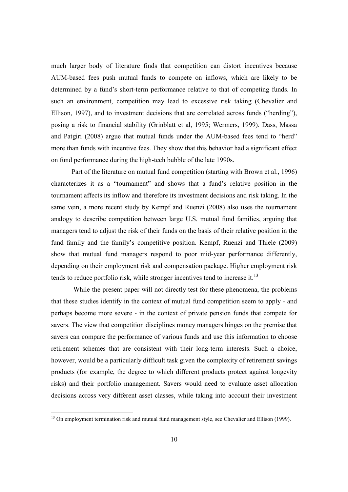much larger body of literature finds that competition can distort incentives because AUM-based fees push mutual funds to compete on inflows, which are likely to be determined by a fund's short-term performance relative to that of competing funds. In such an environment, competition may lead to excessive risk taking (Chevalier and Ellison, 1997), and to investment decisions that are correlated across funds ("herding"), posing a risk to financial stability (Grinblatt et al, 1995; Wermers, 1999). Dass, Massa and Patgiri (2008) argue that mutual funds under the AUM-based fees tend to "herd" more than funds with incentive fees. They show that this behavior had a significant effect on fund performance during the high-tech bubble of the late 1990s.

 Part of the literature on mutual fund competition (starting with Brown et al., 1996) characterizes it as a "tournament" and shows that a fund's relative position in the tournament affects its inflow and therefore its investment decisions and risk taking. In the same vein, a more recent study by Kempf and Ruenzi (2008) also uses the tournament analogy to describe competition between large U.S. mutual fund families, arguing that managers tend to adjust the risk of their funds on the basis of their relative position in the fund family and the family's competitive position. Kempf, Ruenzi and Thiele (2009) show that mutual fund managers respond to poor mid-year performance differently, depending on their employment risk and compensation package. Higher employment risk tends to reduce portfolio risk, while stronger incentives tend to increase it.<sup>13</sup>

 While the present paper will not directly test for these phenomena, the problems that these studies identify in the context of mutual fund competition seem to apply - and perhaps become more severe - in the context of private pension funds that compete for savers. The view that competition disciplines money managers hinges on the premise that savers can compare the performance of various funds and use this information to choose retirement schemes that are consistent with their long-term interests. Such a choice, however, would be a particularly difficult task given the complexity of retirement savings products (for example, the degree to which different products protect against longevity risks) and their portfolio management. Savers would need to evaluate asset allocation decisions across very different asset classes, while taking into account their investment

<sup>&</sup>lt;sup>13</sup> On employment termination risk and mutual fund management style, see Chevalier and Ellison (1999).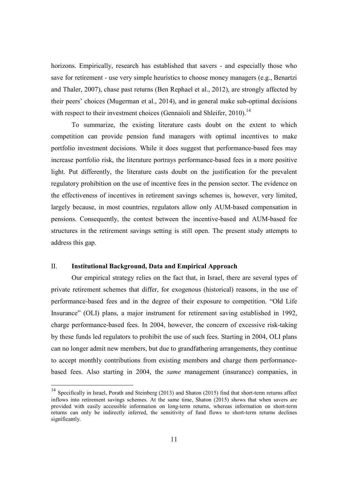horizons. Empirically, research has established that savers - and especially those who save for retirement - use very simple heuristics to choose money managers (e.g., Benartzi and Thaler, 2007), chase past returns (Ben Rephael et al., 2012), are strongly affected by their peers' choices (Mugerman et al., 2014), and in general make sub-optimal decisions with respect to their investment choices (Gennaioli and Shleifer, 2010).<sup>14</sup>

 To summarize, the existing literature casts doubt on the extent to which competition can provide pension fund managers with optimal incentives to make portfolio investment decisions. While it does suggest that performance-based fees may increase portfolio risk, the literature portrays performance-based fees in a more positive light. Put differently, the literature casts doubt on the justification for the prevalent regulatory prohibition on the use of incentive fees in the pension sector. The evidence on the effectiveness of incentives in retirement savings schemes is, however, very limited, largely because, in most countries, regulators allow only AUM-based compensation in pensions. Consequently, the contest between the incentive-based and AUM-based fee structures in the retirement savings setting is still open. The present study attempts to address this gap.

# II. **Institutional Background, Data and Empirical Approach**

 $\overline{a}$ 

 Our empirical strategy relies on the fact that, in Israel, there are several types of private retirement schemes that differ, for exogenous (historical) reasons, in the use of performance-based fees and in the degree of their exposure to competition. "Old Life Insurance" (OLI) plans, a major instrument for retirement saving established in 1992, charge performance-based fees. In 2004, however, the concern of excessive risk-taking by these funds led regulators to prohibit the use of such fees. Starting in 2004, OLI plans can no longer admit new members, but due to grandfathering arrangements, they continue to accept monthly contributions from existing members and charge them performancebased fees. Also starting in 2004, the *same* management (insurance) companies, in

<sup>&</sup>lt;sup>14</sup> Specifically in Israel, Porath and Steinberg (2013) and Shaton (2015) find that short-term returns affect inflows into retirement savings schemes. At the same time, Shaton (2015) shows that when savers are provided with easily accessible information on long-term returns, whereas information on short-term returns can only be indirectly inferred, the sensitivity of fund flows to short-term returns declines significantly.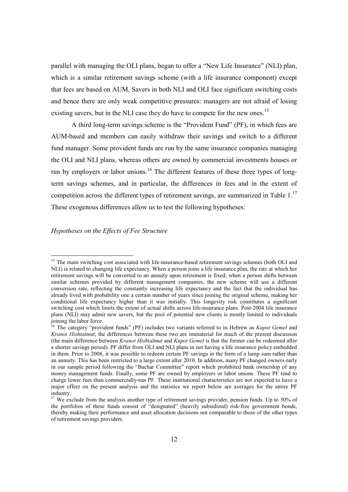parallel with managing the OLI plans, began to offer a "New Life Insurance" (NLI) plan, which is a similar retirement savings scheme (with a life insurance component) except that fees are based on AUM. Savers in both NLI and OLI face significant switching costs and hence there are only weak competitive pressures: managers are not afraid of losing existing savers, but in the NLI case they do have to compete for the new ones.<sup>15</sup>

 A third long-term savings scheme is the "Provident Fund" (PF), in which fees are AUM-based and members can easily withdraw their savings and switch to a different fund manager. Some provident funds are run by the same insurance companies managing the OLI and NLI plans, whereas others are owned by commercial investments houses or run by employers or labor unions.<sup>16</sup> The different features of these three types of longterm savings schemes, and in particular, the differences in fees and in the extent of competition across the different types of retirement savings, are summarized in Table  $1<sup>17</sup>$ These exogenous differences allow us to test the following hypotheses:

# *Hypotheses on the Effects of Fee Structure*

<sup>&</sup>lt;sup>15</sup> The main switching cost associated with life-insurance-based retirement savings schemes (both OLI and NLI) is related to changing life expectancy. When a person joins a life insurance plan, the rate at which her retirement savings will be converted to an annuity upon retirement is fixed; when a person shifts between similar schemes provided by different management companies, the new scheme will use a different conversion rate, reflecting the constantly increasing life expectancy and the fact that the individual has already lived with probability one a certain number of years since joining the original scheme, making her conditional life expectancy higher than it was initially. This longevity risk constitutes a significant switching cost which limits the extent of actual shifts across life-insurance plans. Post-2004 life insurance plans (NLI) may admit new savers, but the pool of potential new clients is mostly limited to individuals joining the labor force.

<sup>16</sup> The category "provident funds" (PF) includes two variants referred to in Hebrew as *Kupot Gemel* and *Kranot Hishtalmut*; the differences between these two are immaterial for much of the present discussion (the main difference between *Kranot Hishtalmut* and *Kupot Gemel* is that the former can be redeemed after a shorter savings period). PF differ from OLI and NLI plans in not having a life insurance policy embedded in them. Prior to 2008, it was possible to redeem certain PF savings in the form of a lump sum rather than an annuity. This has been restricted to a large extent after 2010. In addition, many PF changed owners early in our sample period following the "Bachar Committee" report which prohibited bank ownership of any money management funds. Finally, some PF are owned by employers or labor unions. These PF tend to charge lower fees than commercially-run PF. These institutional characteristics are not expected to have a major effect on the present analysis and the statistics we report below are averages for the entire PF industry.

<sup>&</sup>lt;sup>17</sup> We exclude from the analysis another type of retirement savings provider, pension funds. Up to 30% of the portfolios of these funds consist of "designated" (heavily subsidized) risk-free government bonds, thereby making their performance and asset allocation decisions not comparable to those of the other types of retirement savings providers.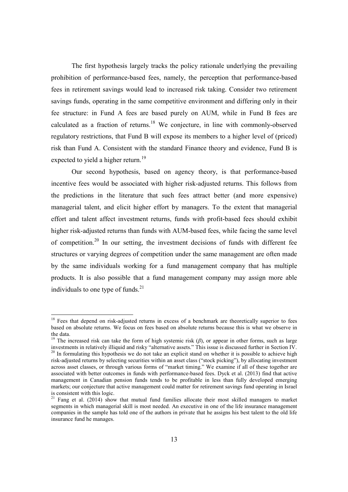The first hypothesis largely tracks the policy rationale underlying the prevailing prohibition of performance-based fees, namely, the perception that performance-based fees in retirement savings would lead to increased risk taking. Consider two retirement savings funds, operating in the same competitive environment and differing only in their fee structure: in Fund A fees are based purely on AUM, while in Fund B fees are calculated as a fraction of returns.<sup>18</sup> We conjecture, in line with commonly-observed regulatory restrictions, that Fund B will expose its members to a higher level of (priced) risk than Fund A. Consistent with the standard Finance theory and evidence, Fund B is expected to yield a higher return.<sup>19</sup>

 Our second hypothesis, based on agency theory, is that performance-based incentive fees would be associated with higher risk-adjusted returns. This follows from the predictions in the literature that such fees attract better (and more expensive) managerial talent, and elicit higher effort by managers. To the extent that managerial effort and talent affect investment returns, funds with profit-based fees should exhibit higher risk-adjusted returns than funds with AUM-based fees, while facing the same level of competition.<sup>20</sup> In our setting, the investment decisions of funds with different fee structures or varying degrees of competition under the same management are often made by the same individuals working for a fund management company that has multiple products. It is also possible that a fund management company may assign more able individuals to one type of funds. $^{21}$ 

<sup>&</sup>lt;sup>18</sup> Fees that depend on risk-adjusted returns in excess of a benchmark are theoretically superior to fees based on absolute returns. We focus on fees based on absolute returns because this is what we observe in the data.

<sup>&</sup>lt;sup>19</sup> The increased risk can take the form of high systemic risk  $(\beta)$ , or appear in other forms, such as large investments in relatively illiquid and risky "alternative assets." This issue is discussed further in Section IV. <sup>20</sup> In formulating this hypothesis we do not take an explicit stand on whether it is possible to achieve high risk-adjusted returns by selecting securities within an asset class ("stock picking"), by allocating investment across asset classes, or through various forms of "market timing." We examine if all of these together are associated with better outcomes in funds with performance-based fees. Dyck et al. (2013) find that active management in Canadian pension funds tends to be profitable in less than fully developed emerging markets; our conjecture that active management could matter for retirement savings fund operating in Israel is consistent with this logic.

<sup>&</sup>lt;sup>21</sup> Fang et al. (2014) show that mutual fund families allocate their most skilled managers to market segments in which managerial skill is most needed. An executive in one of the life insurance management companies in the sample has told one of the authors in private that he assigns his best talent to the old life insurance fund he manages.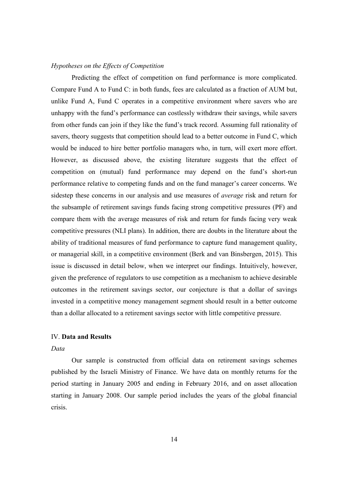#### *Hypotheses on the Effects of Competition*

 Predicting the effect of competition on fund performance is more complicated. Compare Fund A to Fund C: in both funds, fees are calculated as a fraction of AUM but, unlike Fund A, Fund C operates in a competitive environment where savers who are unhappy with the fund's performance can costlessly withdraw their savings, while savers from other funds can join if they like the fund's track record. Assuming full rationality of savers, theory suggests that competition should lead to a better outcome in Fund C, which would be induced to hire better portfolio managers who, in turn, will exert more effort. However, as discussed above, the existing literature suggests that the effect of competition on (mutual) fund performance may depend on the fund's short-run performance relative to competing funds and on the fund manager's career concerns. We sidestep these concerns in our analysis and use measures of *average* risk and return for the subsample of retirement savings funds facing strong competitive pressures (PF) and compare them with the average measures of risk and return for funds facing very weak competitive pressures (NLI plans). In addition, there are doubts in the literature about the ability of traditional measures of fund performance to capture fund management quality, or managerial skill, in a competitive environment (Berk and van Binsbergen, 2015). This issue is discussed in detail below, when we interpret our findings. Intuitively, however, given the preference of regulators to use competition as a mechanism to achieve desirable outcomes in the retirement savings sector, our conjecture is that a dollar of savings invested in a competitive money management segment should result in a better outcome than a dollar allocated to a retirement savings sector with little competitive pressure.

# IV. **Data and Results**

#### *Data*

 Our sample is constructed from official data on retirement savings schemes published by the Israeli Ministry of Finance. We have data on monthly returns for the period starting in January 2005 and ending in February 2016, and on asset allocation starting in January 2008. Our sample period includes the years of the global financial crisis.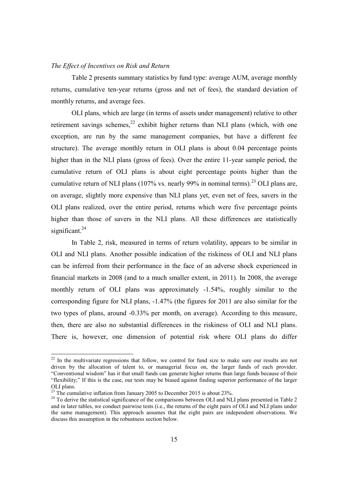#### *The Effect of Incentives on Risk and Return*

 Table 2 presents summary statistics by fund type: average AUM, average monthly returns, cumulative ten-year returns (gross and net of fees), the standard deviation of monthly returns, and average fees.

 OLI plans, which are large (in terms of assets under management) relative to other retirement savings schemes, $^{22}$  exhibit higher returns than NLI plans (which, with one exception, are run by the same management companies, but have a different fee structure). The average monthly return in OLI plans is about 0.04 percentage points higher than in the NLI plans (gross of fees). Over the entire 11-year sample period, the cumulative return of OLI plans is about eight percentage points higher than the cumulative return of NLI plans (107% vs. nearly 99% in nominal terms).<sup>23</sup> OLI plans are, on average, slightly more expensive than NLI plans yet, even net of fees, savers in the OLI plans realized, over the entire period, returns which were five percentage points higher than those of savers in the NLI plans. All these differences are statistically significant.<sup>24</sup>

 In Table 2, risk, measured in terms of return volatility, appears to be similar in OLI and NLI plans. Another possible indication of the riskiness of OLI and NLI plans can be inferred from their performance in the face of an adverse shock experienced in financial markets in 2008 (and to a much smaller extent, in 2011). In 2008, the average monthly return of OLI plans was approximately -1.54%, roughly similar to the corresponding figure for NLI plans, -1.47% (the figures for 2011 are also similar for the two types of plans, around -0.33% per month, on average). According to this measure, then, there are also no substantial differences in the riskiness of OLI and NLI plans. There is, however, one dimension of potential risk where OLI plans do differ

 $2<sup>22</sup>$  In the multivariate regressions that follow, we control for fund size to make sure our results are not driven by the allocation of talent to, or managerial focus on, the larger funds of each provider. "Conventional wisdom" has it that small funds can generate higher returns than large funds because of their "flexibility;" If this is the case, our tests may be biased against finding superior performance of the larger OLI plans.

 $23$  The cumulative inflation from January 2005 to December 2015 is about 23%.

<sup>&</sup>lt;sup>24</sup> To derive the statistical significance of the comparisons between OLI and NLI plans presented in Table 2 and in later tables, we conduct pairwise tests (i.e., the returns of the eight pairs of OLI and NLI plans under the same management). This approach assumes that the eight pairs are independent observations. We discuss this assumption in the robustness section below.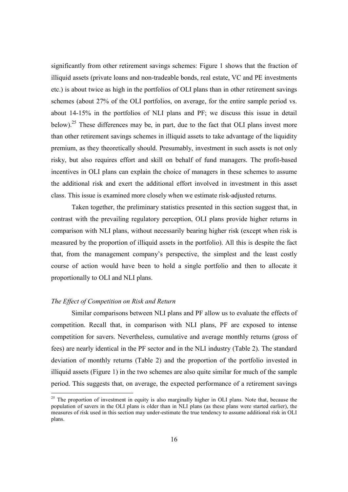significantly from other retirement savings schemes: Figure 1 shows that the fraction of illiquid assets (private loans and non-tradeable bonds, real estate, VC and PE investments etc.) is about twice as high in the portfolios of OLI plans than in other retirement savings schemes (about 27% of the OLI portfolios, on average, for the entire sample period vs. about 14-15% in the portfolios of NLI plans and PF; we discuss this issue in detail below).<sup>25</sup> These differences may be, in part, due to the fact that OLI plans invest more than other retirement savings schemes in illiquid assets to take advantage of the liquidity premium, as they theoretically should. Presumably, investment in such assets is not only risky, but also requires effort and skill on behalf of fund managers. The profit-based incentives in OLI plans can explain the choice of managers in these schemes to assume the additional risk and exert the additional effort involved in investment in this asset class. This issue is examined more closely when we estimate risk-adjusted returns.

 Taken together, the preliminary statistics presented in this section suggest that, in contrast with the prevailing regulatory perception, OLI plans provide higher returns in comparison with NLI plans, without necessarily bearing higher risk (except when risk is measured by the proportion of illiquid assets in the portfolio). All this is despite the fact that, from the management company's perspective, the simplest and the least costly course of action would have been to hold a single portfolio and then to allocate it proportionally to OLI and NLI plans.

#### *The Effect of Competition on Risk and Return*

 $\overline{a}$ 

 Similar comparisons between NLI plans and PF allow us to evaluate the effects of competition. Recall that, in comparison with NLI plans, PF are exposed to intense competition for savers. Nevertheless, cumulative and average monthly returns (gross of fees) are nearly identical in the PF sector and in the NLI industry (Table 2). The standard deviation of monthly returns (Table 2) and the proportion of the portfolio invested in illiquid assets (Figure 1) in the two schemes are also quite similar for much of the sample period. This suggests that, on average, the expected performance of a retirement savings

<sup>&</sup>lt;sup>25</sup> The proportion of investment in equity is also marginally higher in OLI plans. Note that, because the population of savers in the OLI plans is older than in NLI plans (as these plans were started earlier), the measures of risk used in this section may under-estimate the true tendency to assume additional risk in OLI plans.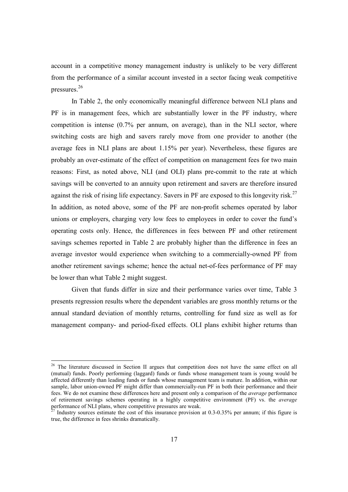account in a competitive money management industry is unlikely to be very different from the performance of a similar account invested in a sector facing weak competitive pressures. 26

In Table 2, the only economically meaningful difference between NLI plans and PF is in management fees, which are substantially lower in the PF industry, where competition is intense (0.7% per annum, on average), than in the NLI sector, where switching costs are high and savers rarely move from one provider to another (the average fees in NLI plans are about 1.15% per year). Nevertheless, these figures are probably an over-estimate of the effect of competition on management fees for two main reasons: First, as noted above, NLI (and OLI) plans pre-commit to the rate at which savings will be converted to an annuity upon retirement and savers are therefore insured against the risk of rising life expectancy. Savers in PF are exposed to this longevity risk.<sup>27</sup> In addition, as noted above, some of the PF are non-profit schemes operated by labor unions or employers, charging very low fees to employees in order to cover the fund's operating costs only. Hence, the differences in fees between PF and other retirement savings schemes reported in Table 2 are probably higher than the difference in fees an average investor would experience when switching to a commercially-owned PF from another retirement savings scheme; hence the actual net-of-fees performance of PF may be lower than what Table 2 might suggest.

 Given that funds differ in size and their performance varies over time, Table 3 presents regression results where the dependent variables are gross monthly returns or the annual standard deviation of monthly returns, controlling for fund size as well as for management company- and period-fixed effects. OLI plans exhibit higher returns than

<sup>&</sup>lt;sup>26</sup> The literature discussed in Section II argues that competition does not have the same effect on all (mutual) funds. Poorly performing (laggard) funds or funds whose management team is young would be affected differently than leading funds or funds whose management team is mature. In addition, within our sample, labor union-owned PF might differ than commercially-run PF in both their performance and their fees. We do not examine these differences here and present only a comparison of the *average* performance of retirement savings schemes operating in a highly competitive environment (PF) vs. the *average* performance of NLI plans, where competitive pressures are weak.

Industry sources estimate the cost of this insurance provision at 0.3-0.35% per annum; if this figure is true, the difference in fees shrinks dramatically.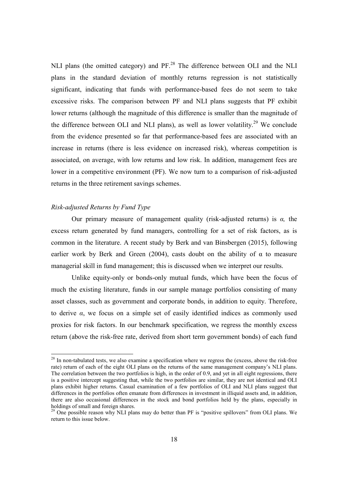NLI plans (the omitted category) and PF.<sup>28</sup> The difference between OLI and the NLI plans in the standard deviation of monthly returns regression is not statistically significant, indicating that funds with performance-based fees do not seem to take excessive risks. The comparison between PF and NLI plans suggests that PF exhibit lower returns (although the magnitude of this difference is smaller than the magnitude of the difference between OLI and NLI plans), as well as lower volatility.<sup>29</sup> We conclude from the evidence presented so far that performance-based fees are associated with an increase in returns (there is less evidence on increased risk), whereas competition is associated, on average, with low returns and low risk. In addition, management fees are lower in a competitive environment (PF). We now turn to a comparison of risk-adjusted returns in the three retirement savings schemes.

## *Risk-adjusted Returns by Fund Type*

 $\overline{a}$ 

 Our primary measure of management quality (risk-adjusted returns) is *α,* the excess return generated by fund managers, controlling for a set of risk factors, as is common in the literature. A recent study by Berk and van Binsbergen (2015), following earlier work by Berk and Green (2004), casts doubt on the ability of  $\alpha$  to measure managerial skill in fund management; this is discussed when we interpret our results.

 Unlike equity-only or bonds-only mutual funds, which have been the focus of much the existing literature, funds in our sample manage portfolios consisting of many asset classes, such as government and corporate bonds, in addition to equity. Therefore, to derive *α*, we focus on a simple set of easily identified indices as commonly used proxies for risk factors. In our benchmark specification, we regress the monthly excess return (above the risk-free rate, derived from short term government bonds) of each fund

<sup>&</sup>lt;sup>28</sup> In non-tabulated tests, we also examine a specification where we regress the (excess, above the risk-free rate) return of each of the eight OLI plans on the returns of the same management company's NLI plans. The correlation between the two portfolios is high, in the order of 0.9, and yet in all eight regressions, there is a positive intercept suggesting that, while the two portfolios are similar, they are not identical and OLI plans exhibit higher returns. Casual examination of a few portfolios of OLI and NLI plans suggest that differences in the portfolios often emanate from differences in investment in illiquid assets and, in addition, there are also occasional differences in the stock and bond portfolios held by the plans, especially in holdings of small and foreign shares.

 $^{29}$  One possible reason why NLI plans may do better than PF is "positive spillovers" from OLI plans. We return to this issue below.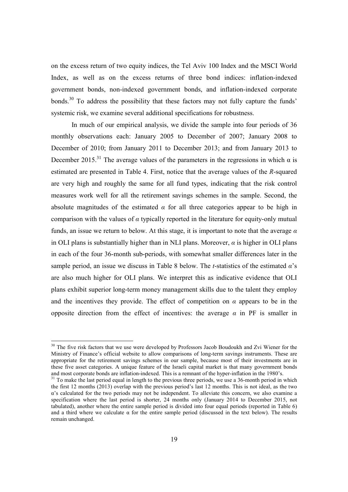on the excess return of two equity indices, the Tel Aviv 100 Index and the MSCI World Index, as well as on the excess returns of three bond indices: inflation-indexed government bonds, non-indexed government bonds, and inflation-indexed corporate bonds.<sup>30</sup> To address the possibility that these factors may not fully capture the funds' systemic risk, we examine several additional specifications for robustness.

 In much of our empirical analysis, we divide the sample into four periods of 36 monthly observations each: January 2005 to December of 2007; January 2008 to December of 2010; from January 2011 to December 2013; and from January 2013 to December 2015.<sup>31</sup> The average values of the parameters in the regressions in which  $\alpha$  is estimated are presented in Table 4. First, notice that the average values of the *R*-squared are very high and roughly the same for all fund types, indicating that the risk control measures work well for all the retirement savings schemes in the sample. Second, the absolute magnitudes of the estimated  $\alpha$  for all three categories appear to be high in comparison with the values of *α* typically reported in the literature for equity-only mutual funds, an issue we return to below. At this stage, it is important to note that the average *α* in OLI plans is substantially higher than in NLI plans. Moreover,  $\alpha$  is higher in OLI plans in each of the four 36-month sub-periods, with somewhat smaller differences later in the sample period, an issue we discuss in Table 8 below. The *t*-statistics of the estimated *α*'s are also much higher for OLI plans. We interpret this as indicative evidence that OLI plans exhibit superior long-term money management skills due to the talent they employ and the incentives they provide. The effect of competition on  $\alpha$  appears to be in the opposite direction from the effect of incentives: the average  $\alpha$  in PF is smaller in

<sup>&</sup>lt;sup>30</sup> The five risk factors that we use were developed by Professors Jacob Boudoukh and Zvi Wiener for the Ministry of Finance's official website to allow comparisons of long-term savings instruments. These are appropriate for the retirement savings schemes in our sample, because most of their investments are in these five asset categories. A unique feature of the Israeli capital market is that many government bonds and most corporate bonds are inflation-indexed. This is a remnant of the hyper-inflation in the 1980's.

<sup>&</sup>lt;sup>31</sup> To make the last period equal in length to the previous three periods, we use a 36-month period in which the first 12 months (2013) overlap with the previous period's last 12 months. This is not ideal, as the two α's calculated for the two periods may not be independent. To alleviate this concern, we also examine a specification where the last period is shorter, 24 months only (January 2014 to December 2015, not tabulated), another where the entire sample period is divided into four equal periods (reported in Table 6) and a third where we calculate  $\alpha$  for the entire sample period (discussed in the text below). The results remain unchanged.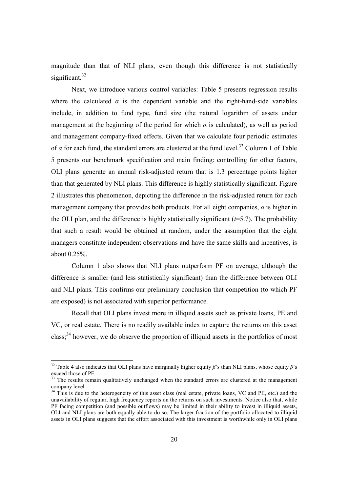magnitude than that of NLI plans, even though this difference is not statistically significant*.* 32

Next, we introduce various control variables: Table 5 presents regression results where the calculated  $\alpha$  is the dependent variable and the right-hand-side variables include, in addition to fund type, fund size (the natural logarithm of assets under management at the beginning of the period for which  $\alpha$  is calculated), as well as period and management company-fixed effects. Given that we calculate four periodic estimates of  $\alpha$  for each fund, the standard errors are clustered at the fund level.<sup>33</sup> Column 1 of Table 5 presents our benchmark specification and main finding: controlling for other factors, OLI plans generate an annual risk-adjusted return that is 1.3 percentage points higher than that generated by NLI plans. This difference is highly statistically significant. Figure 2 illustrates this phenomenon, depicting the difference in the risk-adjusted return for each management company that provides both products. For all eight companies,  $\alpha$  is higher in the OLI plan, and the difference is highly statistically significant  $(t=5.7)$ . The probability that such a result would be obtained at random, under the assumption that the eight managers constitute independent observations and have the same skills and incentives, is about 0.25%.

Column 1 also shows that NLI plans outperform PF on average, although the difference is smaller (and less statistically significant) than the difference between OLI and NLI plans. This confirms our preliminary conclusion that competition (to which PF are exposed) is not associated with superior performance.

 Recall that OLI plans invest more in illiquid assets such as private loans, PE and VC, or real estate. There is no readily available index to capture the returns on this asset class;<sup>34</sup> however, we do observe the proportion of illiquid assets in the portfolios of most

<sup>&</sup>lt;sup>32</sup> Table 4 also indicates that OLI plans have marginally higher equity *β*'s than NLI plans, whose equity *β*'s exceed those of PF.

<sup>&</sup>lt;sup>33</sup> The results remain qualitatively unchanged when the standard errors are clustered at the management company level.

<sup>&</sup>lt;sup>34</sup> This is due to the heterogeneity of this asset class (real estate, private loans, VC and PE, etc.) and the unavailability of regular, high frequency reports on the returns on such investments. Notice also that, while PF facing competition (and possible outflows) may be limited in their ability to invest in illiquid assets, OLI and NLI plans are both equally able to do so. The larger fraction of the portfolio allocated to illiquid assets in OLI plans suggests that the effort associated with this investment is worthwhile only in OLI plans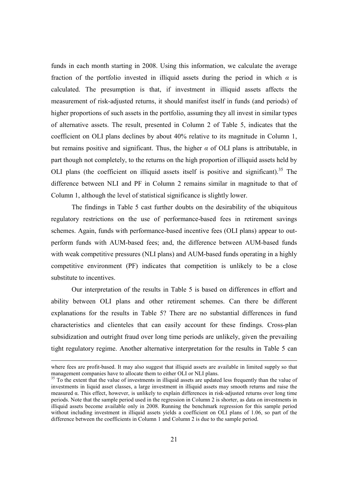funds in each month starting in 2008. Using this information, we calculate the average fraction of the portfolio invested in illiquid assets during the period in which *α* is calculated. The presumption is that, if investment in illiquid assets affects the measurement of risk-adjusted returns, it should manifest itself in funds (and periods) of higher proportions of such assets in the portfolio, assuming they all invest in similar types of alternative assets. The result, presented in Column 2 of Table 5, indicates that the coefficient on OLI plans declines by about 40% relative to its magnitude in Column 1, but remains positive and significant. Thus, the higher *α* of OLI plans is attributable, in part though not completely, to the returns on the high proportion of illiquid assets held by OLI plans (the coefficient on illiquid assets itself is positive and significant).<sup>35</sup> The difference between NLI and PF in Column 2 remains similar in magnitude to that of Column 1, although the level of statistical significance is slightly lower.

The findings in Table 5 cast further doubts on the desirability of the ubiquitous regulatory restrictions on the use of performance-based fees in retirement savings schemes. Again, funds with performance-based incentive fees (OLI plans) appear to outperform funds with AUM-based fees; and, the difference between AUM-based funds with weak competitive pressures (NLI plans) and AUM-based funds operating in a highly competitive environment (PF) indicates that competition is unlikely to be a close substitute to incentives.

Our interpretation of the results in Table 5 is based on differences in effort and ability between OLI plans and other retirement schemes. Can there be different explanations for the results in Table 5? There are no substantial differences in fund characteristics and clienteles that can easily account for these findings. Cross-plan subsidization and outright fraud over long time periods are unlikely, given the prevailing tight regulatory regime. Another alternative interpretation for the results in Table 5 can

where fees are profit-based. It may also suggest that illiquid assets are available in limited supply so that management companies have to allocate them to either OLI or NLI plans.

<sup>&</sup>lt;sup>35</sup> To the extent that the value of investments in illiquid assets are updated less frequently than the value of investments in liquid asset classes, a large investment in illiquid assets may smooth returns and raise the measured α. This effect, however, is unlikely to explain differences in risk-adjusted returns over long time periods. Note that the sample period used in the regression in Column 2 is shorter, as data on investments in illiquid assets become available only in 2008. Running the benchmark regression for this sample period without including investment in illiquid assets yields a coefficient on OLI plans of 1.06, so part of the difference between the coefficients in Column 1 and Column 2 is due to the sample period.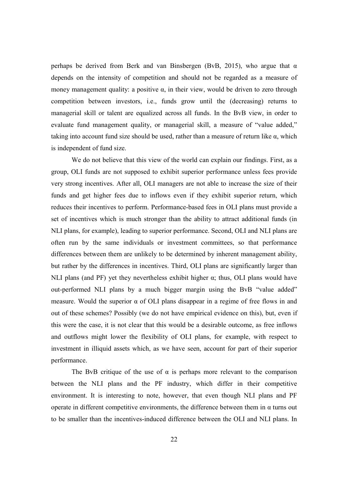perhaps be derived from Berk and van Binsbergen (BvB, 2015), who argue that  $\alpha$ depends on the intensity of competition and should not be regarded as a measure of money management quality: a positive  $\alpha$ , in their view, would be driven to zero through competition between investors, i.e., funds grow until the (decreasing) returns to managerial skill or talent are equalized across all funds. In the BvB view, in order to evaluate fund management quality, or managerial skill, a measure of "value added," taking into account fund size should be used, rather than a measure of return like α, which is independent of fund size.

We do not believe that this view of the world can explain our findings. First, as a group, OLI funds are not supposed to exhibit superior performance unless fees provide very strong incentives. After all, OLI managers are not able to increase the size of their funds and get higher fees due to inflows even if they exhibit superior return, which reduces their incentives to perform. Performance-based fees in OLI plans must provide a set of incentives which is much stronger than the ability to attract additional funds (in NLI plans, for example), leading to superior performance. Second, OLI and NLI plans are often run by the same individuals or investment committees, so that performance differences between them are unlikely to be determined by inherent management ability, but rather by the differences in incentives. Third, OLI plans are significantly larger than NLI plans (and PF) yet they nevertheless exhibit higher  $\alpha$ ; thus, OLI plans would have out-performed NLI plans by a much bigger margin using the BvB "value added" measure. Would the superior  $\alpha$  of OLI plans disappear in a regime of free flows in and out of these schemes? Possibly (we do not have empirical evidence on this), but, even if this were the case, it is not clear that this would be a desirable outcome, as free inflows and outflows might lower the flexibility of OLI plans, for example, with respect to investment in illiquid assets which, as we have seen, account for part of their superior performance.

The BvB critique of the use of  $\alpha$  is perhaps more relevant to the comparison between the NLI plans and the PF industry, which differ in their competitive environment. It is interesting to note, however, that even though NLI plans and PF operate in different competitive environments, the difference between them in  $\alpha$  turns out to be smaller than the incentives-induced difference between the OLI and NLI plans. In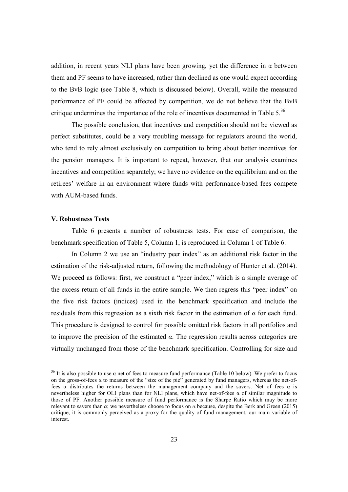addition, in recent years NLI plans have been growing, yet the difference in  $\alpha$  between them and PF seems to have increased, rather than declined as one would expect according to the BvB logic (see Table 8, which is discussed below). Overall, while the measured performance of PF could be affected by competition, we do not believe that the BvB critique undermines the importance of the role of incentives documented in Table  $5.^{36}$ 

The possible conclusion, that incentives and competition should not be viewed as perfect substitutes, could be a very troubling message for regulators around the world, who tend to rely almost exclusively on competition to bring about better incentives for the pension managers. It is important to repeat, however, that our analysis examines incentives and competition separately; we have no evidence on the equilibrium and on the retirees' welfare in an environment where funds with performance-based fees compete with AUM-based funds.

#### **V. Robustness Tests**

 $\overline{a}$ 

 Table 6 presents a number of robustness tests. For ease of comparison, the benchmark specification of Table 5, Column 1, is reproduced in Column 1 of Table 6.

 In Column 2 we use an "industry peer index" as an additional risk factor in the estimation of the risk-adjusted return, following the methodology of Hunter et al. (2014). We proceed as follows: first, we construct a "peer index," which is a simple average of the excess return of all funds in the entire sample. We then regress this "peer index" on the five risk factors (indices) used in the benchmark specification and include the residuals from this regression as a sixth risk factor in the estimation of *α* for each fund. This procedure is designed to control for possible omitted risk factors in all portfolios and to improve the precision of the estimated  $\alpha$ . The regression results across categories are virtually unchanged from those of the benchmark specification. Controlling for size and

<sup>&</sup>lt;sup>36</sup> It is also possible to use  $\alpha$  net of fees to measure fund performance (Table 10 below). We prefer to focus on the gross-of-fees α to measure of the "size of the pie" generated by fund managers, whereas the net-offees  $\alpha$  distributes the returns between the management company and the savers. Net of fees  $\alpha$  is nevertheless higher for OLI plans than for NLI plans, which have net-of-fees α of similar magnitude to those of PF. Another possible measure of fund performance is the Sharpe Ratio which may be more relevant to savers than *α*; we nevertheless choose to focus on *α* because, despite the Berk and Green (2015) critique, it is commonly perceived as a proxy for the quality of fund management, our main variable of interest.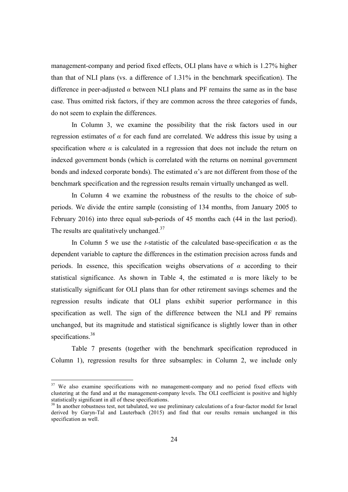management-company and period fixed effects, OLI plans have *α* which is 1.27% higher than that of NLI plans (vs. a difference of 1.31% in the benchmark specification). The difference in peer-adjusted  $\alpha$  between NLI plans and PF remains the same as in the base case. Thus omitted risk factors, if they are common across the three categories of funds, do not seem to explain the differences.

In Column 3, we examine the possibility that the risk factors used in our regression estimates of  $\alpha$  for each fund are correlated. We address this issue by using a specification where  $\alpha$  is calculated in a regression that does not include the return on indexed government bonds (which is correlated with the returns on nominal government bonds and indexed corporate bonds). The estimated *α*'s are not different from those of the benchmark specification and the regression results remain virtually unchanged as well.

 In Column 4 we examine the robustness of the results to the choice of subperiods. We divide the entire sample (consisting of 134 months, from January 2005 to February 2016) into three equal sub-periods of 45 months each (44 in the last period). The results are qualitatively unchanged.<sup>37</sup>

In Column 5 we use the *t*-statistic of the calculated base-specification  $\alpha$  as the dependent variable to capture the differences in the estimation precision across funds and periods. In essence, this specification weighs observations of *α* according to their statistical significance. As shown in Table 4, the estimated  $\alpha$  is more likely to be statistically significant for OLI plans than for other retirement savings schemes and the regression results indicate that OLI plans exhibit superior performance in this specification as well. The sign of the difference between the NLI and PF remains unchanged, but its magnitude and statistical significance is slightly lower than in other specifications.<sup>38</sup>

 Table 7 presents (together with the benchmark specification reproduced in Column 1), regression results for three subsamples: in Column 2, we include only

<sup>&</sup>lt;sup>37</sup> We also examine specifications with no management-company and no period fixed effects with clustering at the fund and at the management-company levels. The OLI coefficient is positive and highly statistically significant in all of these specifications.

<sup>&</sup>lt;sup>38</sup> In another robustness test, not tabulated, we use preliminary calculations of a four-factor model for Israel derived by Garyn-Tal and Lauterbach (2015) and find that our results remain unchanged in this specification as well.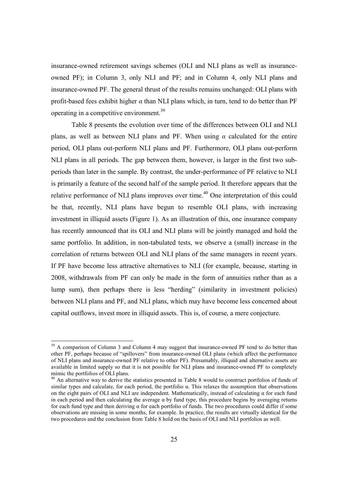insurance-owned retirement savings schemes (OLI and NLI plans as well as insuranceowned PF); in Column 3, only NLI and PF; and in Column 4, only NLI plans and insurance-owned PF. The general thrust of the results remains unchanged: OLI plans with profit-based fees exhibit higher *α* than NLI plans which, in turn, tend to do better than PF operating in a competitive environment.<sup>39</sup>

 Table 8 presents the evolution over time of the differences between OLI and NLI plans, as well as between NLI plans and PF. When using  $\alpha$  calculated for the entire period, OLI plans out-perform NLI plans and PF. Furthermore, OLI plans out-perform NLI plans in all periods. The gap between them, however, is larger in the first two subperiods than later in the sample. By contrast, the under-performance of PF relative to NLI is primarily a feature of the second half of the sample period. It therefore appears that the relative performance of NLI plans improves over time.<sup>40</sup> One interpretation of this could be that, recently, NLI plans have begun to resemble OLI plans, with increasing investment in illiquid assets (Figure 1). As an illustration of this, one insurance company has recently announced that its OLI and NLI plans will be jointly managed and hold the same portfolio. In addition, in non-tabulated tests, we observe a (small) increase in the correlation of returns between OLI and NLI plans of the same managers in recent years. If PF have become less attractive alternatives to NLI (for example, because, starting in 2008, withdrawals from PF can only be made in the form of annuities rather than as a lump sum), then perhaps there is less "herding" (similarity in investment policies) between NLI plans and PF, and NLI plans, which may have become less concerned about capital outflows, invest more in illiquid assets. This is, of course, a mere conjecture.

 $39$  A comparison of Column 3 and Column 4 may suggest that insurance-owned PF tend to do better than other PF, perhaps because of "spillovers" from insurance-owned OLI plans (which affect the performance of NLI plans and insurance-owned PF relative to other PF). Presumably, illiquid and alternative assets are available in limited supply so that it is not possible for NLI plans and insurance-owned PF to completely mimic the portfolios of OLI plans.

<sup>&</sup>lt;sup>40</sup> An alternative way to derive the statistics presented in Table 8 would to construct portfolios of funds of similar types and calculate, for each period, the portfolio α. This relaxes the assumption that observations on the eight pairs of OLI and NLI are independent. Mathematically, instead of calculating  $\alpha$  for each fund in each period and then calculating the average  $\alpha$  by fund type, this procedure begins by averaging returns for each fund type and then deriving α for each portfolio of funds. The two procedures could differ if some observations are missing in some months, for example. In practice, the results are virtually identical for the two procedures and the conclusion from Table 8 hold on the basis of OLI and NLI portfolios as well.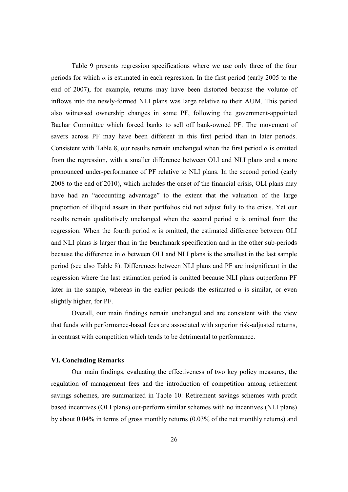Table 9 presents regression specifications where we use only three of the four periods for which  $\alpha$  is estimated in each regression. In the first period (early 2005 to the end of 2007), for example, returns may have been distorted because the volume of inflows into the newly-formed NLI plans was large relative to their AUM. This period also witnessed ownership changes in some PF, following the government-appointed Bachar Committee which forced banks to sell off bank-owned PF. The movement of savers across PF may have been different in this first period than in later periods. Consistent with Table 8, our results remain unchanged when the first period *α* is omitted from the regression, with a smaller difference between OLI and NLI plans and a more pronounced under-performance of PF relative to NLI plans. In the second period (early 2008 to the end of 2010), which includes the onset of the financial crisis, OLI plans may have had an "accounting advantage" to the extent that the valuation of the large proportion of illiquid assets in their portfolios did not adjust fully to the crisis. Yet our results remain qualitatively unchanged when the second period  $\alpha$  is omitted from the regression. When the fourth period  $\alpha$  is omitted, the estimated difference between OLI and NLI plans is larger than in the benchmark specification and in the other sub-periods because the difference in  $\alpha$  between OLI and NLI plans is the smallest in the last sample period (see also Table 8). Differences between NLI plans and PF are insignificant in the regression where the last estimation period is omitted because NLI plans outperform PF later in the sample, whereas in the earlier periods the estimated  $\alpha$  is similar, or even slightly higher, for PF.

Overall, our main findings remain unchanged and are consistent with the view that funds with performance-based fees are associated with superior risk-adjusted returns, in contrast with competition which tends to be detrimental to performance.

#### **VI. Concluding Remarks**

 Our main findings, evaluating the effectiveness of two key policy measures, the regulation of management fees and the introduction of competition among retirement savings schemes, are summarized in Table 10: Retirement savings schemes with profit based incentives (OLI plans) out-perform similar schemes with no incentives (NLI plans) by about 0.04% in terms of gross monthly returns (0.03% of the net monthly returns) and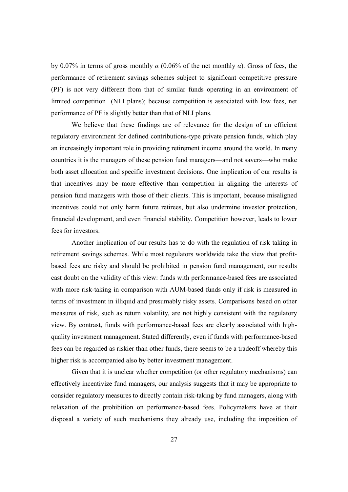by 0.07% in terms of gross monthly *α* (0.06% of the net monthly *α*). Gross of fees, the performance of retirement savings schemes subject to significant competitive pressure (PF) is not very different from that of similar funds operating in an environment of limited competition (NLI plans); because competition is associated with low fees, net performance of PF is slightly better than that of NLI plans.

We believe that these findings are of relevance for the design of an efficient regulatory environment for defined contributions-type private pension funds, which play an increasingly important role in providing retirement income around the world. In many countries it is the managers of these pension fund managers—and not savers—who make both asset allocation and specific investment decisions. One implication of our results is that incentives may be more effective than competition in aligning the interests of pension fund managers with those of their clients. This is important, because misaligned incentives could not only harm future retirees, but also undermine investor protection, financial development, and even financial stability. Competition however, leads to lower fees for investors.

Another implication of our results has to do with the regulation of risk taking in retirement savings schemes. While most regulators worldwide take the view that profitbased fees are risky and should be prohibited in pension fund management, our results cast doubt on the validity of this view: funds with performance-based fees are associated with more risk-taking in comparison with AUM-based funds only if risk is measured in terms of investment in illiquid and presumably risky assets. Comparisons based on other measures of risk, such as return volatility, are not highly consistent with the regulatory view. By contrast, funds with performance-based fees are clearly associated with highquality investment management. Stated differently, even if funds with performance-based fees can be regarded as riskier than other funds, there seems to be a tradeoff whereby this higher risk is accompanied also by better investment management.

 Given that it is unclear whether competition (or other regulatory mechanisms) can effectively incentivize fund managers, our analysis suggests that it may be appropriate to consider regulatory measures to directly contain risk-taking by fund managers, along with relaxation of the prohibition on performance-based fees. Policymakers have at their disposal a variety of such mechanisms they already use, including the imposition of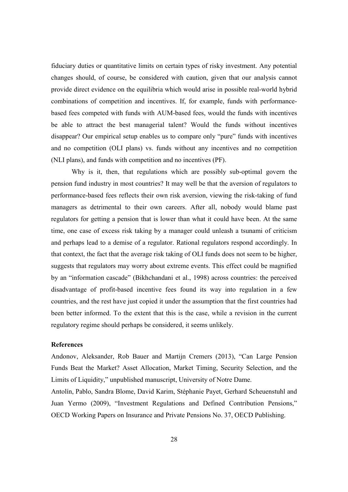fiduciary duties or quantitative limits on certain types of risky investment. Any potential changes should, of course, be considered with caution, given that our analysis cannot provide direct evidence on the equilibria which would arise in possible real-world hybrid combinations of competition and incentives. If, for example, funds with performancebased fees competed with funds with AUM-based fees, would the funds with incentives be able to attract the best managerial talent? Would the funds without incentives disappear? Our empirical setup enables us to compare only "pure" funds with incentives and no competition (OLI plans) vs. funds without any incentives and no competition (NLI plans), and funds with competition and no incentives (PF).

 Why is it, then, that regulations which are possibly sub-optimal govern the pension fund industry in most countries? It may well be that the aversion of regulators to performance-based fees reflects their own risk aversion, viewing the risk-taking of fund managers as detrimental to their own careers. After all, nobody would blame past regulators for getting a pension that is lower than what it could have been. At the same time, one case of excess risk taking by a manager could unleash a tsunami of criticism and perhaps lead to a demise of a regulator. Rational regulators respond accordingly. In that context, the fact that the average risk taking of OLI funds does not seem to be higher, suggests that regulators may worry about extreme events. This effect could be magnified by an "information cascade" (Bikhchandani et al., 1998) across countries: the perceived disadvantage of profit-based incentive fees found its way into regulation in a few countries, and the rest have just copied it under the assumption that the first countries had been better informed. To the extent that this is the case, while a revision in the current regulatory regime should perhaps be considered, it seems unlikely.

#### **References**

Andonov, Aleksander, Rob Bauer and Martijn Cremers (2013), "Can Large Pension Funds Beat the Market? Asset Allocation, Market Timing, Security Selection, and the Limits of Liquidity," unpublished manuscript, University of Notre Dame.

Antolín, Pablo, Sandra Blome, David Karim, Stéphanie Payet, Gerhard Scheuenstuhl and Juan Yermo (2009), "Investment Regulations and Defined Contribution Pensions," OECD Working Papers on Insurance and Private Pensions No. 37, OECD Publishing.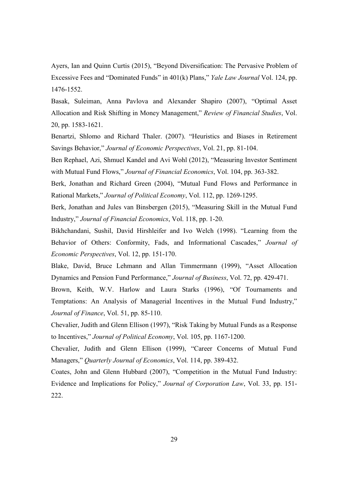Ayers, Ian and Quinn Curtis (2015), "Beyond Diversification: The Pervasive Problem of Excessive Fees and "Dominated Funds" in 401(k) Plans," *Yale Law Journal* Vol. 124, pp. 1476-1552.

Basak, Suleiman, Anna Pavlova and Alexander Shapiro (2007), "Optimal Asset Allocation and Risk Shifting in Money Management," *Review of Financial Studies*, Vol. 20, pp. 1583-1621.

Benartzi, Shlomo and Richard Thaler. (2007). "Heuristics and Biases in Retirement Savings Behavior," *Journal of Economic Perspectives*, Vol. 21, pp. 81-104.

Ben Rephael, Azi, Shmuel Kandel and Avi Wohl (2012), "Measuring Investor Sentiment with Mutual Fund Flows," *Journal of Financial Economics*, Vol. 104, pp. 363-382.

Berk, Jonathan and Richard Green (2004), "Mutual Fund Flows and Performance in Rational Markets," *Journal of Political Economy*, Vol. 112, pp. 1269-1295.

Berk, Jonathan and Jules van Binsbergen (2015), "Measuring Skill in the Mutual Fund Industry," *Journal of Financial Economics*, Vol. 118, pp. 1-20.

Bikhchandani, Sushil, David Hirshleifer and Ivo Welch (1998). "Learning from the Behavior of Others: Conformity, Fads, and Informational Cascades," *Journal of Economic Perspectives*, Vol. 12, pp. 151-170.

Blake, David, Bruce Lehmann and Allan Timmermann (1999), "Asset Allocation Dynamics and Pension Fund Performance," *Journal of Business*, Vol. 72, pp. 429-471.

Brown, Keith, W.V. Harlow and Laura Starks (1996), "Of Tournaments and Temptations: An Analysis of Managerial Incentives in the Mutual Fund Industry," *Journal of Finance*, Vol. 51, pp. 85-110.

Chevalier, Judith and Glenn Ellison (1997), "Risk Taking by Mutual Funds as a Response to Incentives," *Journal of Political Economy*, Vol. 105, pp. 1167-1200.

Chevalier, Judith and Glenn Ellison (1999), "Career Concerns of Mutual Fund Managers," *Quarterly Journal of Economics*, Vol. 114, pp. 389-432.

Coates, John and Glenn Hubbard (2007), "Competition in the Mutual Fund Industry: Evidence and Implications for Policy," *Journal of Corporation Law*, Vol. 33, pp. 151- 222.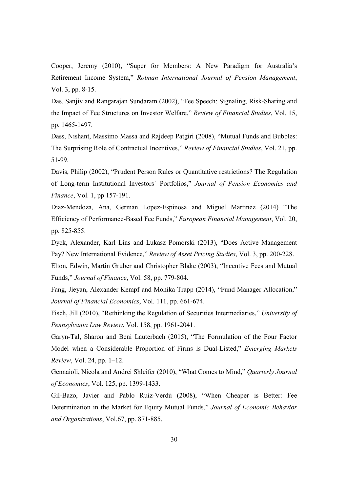Cooper, Jeremy (2010), "Super for Members: A New Paradigm for Australia's Retirement Income System," *Rotman International Journal of Pension Management*, Vol. 3, pp. 8-15.

Das, Sanjiv and Rangarajan Sundaram (2002), "Fee Speech: Signaling, Risk-Sharing and the Impact of Fee Structures on Investor Welfare," *Review of Financial Studies*, Vol. 15, pp. 1465-1497.

Dass, Nishant, Massimo Massa and Rajdeep Patgiri (2008), "Mutual Funds and Bubbles: The Surprising Role of Contractual Incentives," *Review of Financial Studies*, Vol. 21, pp. 51-99.

Davis, Philip (2002), "Prudent Person Rules or Quantitative restrictions? The Regulation of Long-term Institutional Investors` Portfolios," *Journal of Pension Economics and Finance*, Vol. 1, pp 157-191.

Dıaz-Mendoza, Ana, German Lopez-Espinosa and Miguel Martınez (2014) "The Efficiency of Performance-Based Fee Funds," *European Financial Management*, Vol. 20, pp. 825-855.

Dyck, Alexander, Karl Lins and Lukasz Pomorski (2013), "Does Active Management Pay? New International Evidence," *Review of Asset Pricing Studies*, Vol. 3, pp. 200-228.

Elton, Edwin, Martin Gruber and Christopher Blake (2003), "Incentive Fees and Mutual Funds," *Journal of Finance*, Vol. 58, pp. 779-804.

Fang, Jieyan, Alexander Kempf and Monika Trapp (2014), "Fund Manager Allocation," *Journal of Financial Economics*, Vol. 111, pp. 661-674.

Fisch, Jill (2010), "Rethinking the Regulation of Securities Intermediaries," *University of Pennsylvania Law Review*, Vol. 158, pp. 1961-2041.

Garyn-Tal, Sharon and Beni Lauterbach (2015), "The Formulation of the Four Factor Model when a Considerable Proportion of Firms is Dual-Listed," *Emerging Markets Review*, Vol. 24, pp. 1–12.

Gennaioli, Nicola and Andrei Shleifer (2010), "What Comes to Mind," *Quarterly Journal of Economics*, Vol. 125, pp. 1399-1433.

Gil-Bazo, Javier and Pablo Ruiz-Verdú (2008), "When Cheaper is Better: Fee Determination in the Market for Equity Mutual Funds," *Journal of Economic Behavior and Organizations*, Vol.67, pp. 871-885.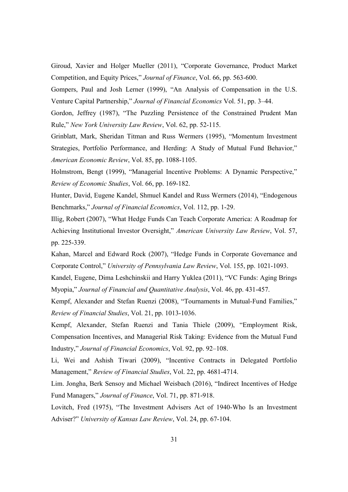Giroud, Xavier and Holger Mueller (2011), "Corporate Governance, Product Market Competition, and Equity Prices," *Journal of Finance*, Vol. 66, pp. 563-600.

Gompers, Paul and Josh Lerner (1999), "An Analysis of Compensation in the U.S. Venture Capital Partnership," *Journal of Financial Economics* Vol. 51, pp. 3–44.

Gordon, Jeffrey (1987), "The Puzzling Persistence of the Constrained Prudent Man Rule," *New York University Law Review*, Vol. 62, pp. 52-115.

Grinblatt, Mark, Sheridan Titman and Russ Wermers (1995), "Momentum Investment Strategies, Portfolio Performance, and Herding: A Study of Mutual Fund Behavior," *American Economic Review*, Vol. 85, pp. 1088-1105.

Holmstrom, Bengt (1999), "Managerial Incentive Problems: A Dynamic Perspective," *Review of Economic Studies*, Vol. 66, pp. 169-182.

Hunter, David, Eugene Kandel, Shmuel Kandel and Russ Wermers (2014), "Endogenous Benchmarks," *Journal of Financial Economics*, Vol. 112, pp. 1-29.

Illig, Robert (2007), "What Hedge Funds Can Teach Corporate America: A Roadmap for Achieving Institutional Investor Oversight," *American University Law Review*, Vol. 57, pp. 225-339.

Kahan, Marcel and Edward Rock (2007), "Hedge Funds in Corporate Governance and Corporate Control," *University of Pennsylvania Law Review*, Vol. 155, pp. 1021-1093.

Kandel, Eugene, Dima Leshchinskii and Harry Yuklea (2011), "VC Funds: Aging Brings Myopia," *Journal of Financial and Quantitative Analysis*, Vol. 46, pp. 431-457.

Kempf, Alexander and Stefan Ruenzi (2008), "Tournaments in Mutual-Fund Families," *Review of Financial Studies*, Vol. 21, pp. 1013-1036.

Kempf, Alexander, Stefan Ruenzi and Tania Thiele (2009), "Employment Risk, Compensation Incentives, and Managerial Risk Taking: Evidence from the Mutual Fund Industry," *Journal of Financial Economics*, Vol. 92, pp. 92–108.

Li, Wei and Ashish Tiwari (2009), "Incentive Contracts in Delegated Portfolio Management," *Review of Financial Studies*, Vol. 22, pp. 4681-4714.

Lim. Jongha, Berk Sensoy and Michael Weisbach (2016), "Indirect Incentives of Hedge Fund Managers," *Journal of Finance*, Vol. 71, pp. 871-918.

Lovitch, Fred (1975), "The Investment Advisers Act of 1940-Who Is an Investment Adviser?" *University of Kansas Law Review*, Vol. 24, pp. 67-104.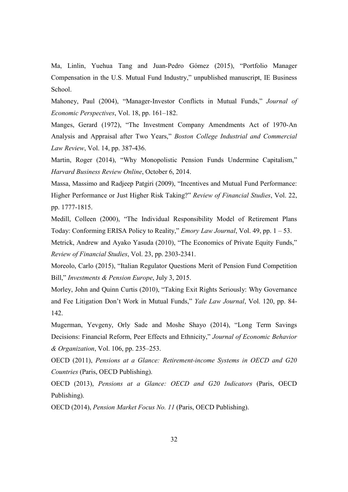Ma, Linlin, Yuehua Tang and Juan-Pedro Gómez (2015), "Portfolio Manager Compensation in the U.S. Mutual Fund Industry," unpublished manuscript, IE Business School.

Mahoney, Paul (2004), "Manager-Investor Conflicts in Mutual Funds," *Journal of Economic Perspectives*, Vol. 18, pp. 161–182.

Manges, Gerard (1972), "The Investment Company Amendments Act of 1970-An Analysis and Appraisal after Two Years," *Boston College Industrial and Commercial Law Review*, Vol. 14, pp. 387-436.

Martin, Roger (2014), "Why Monopolistic Pension Funds Undermine Capitalism," *Harvard Business Review Online*, October 6, 2014.

Massa, Massimo and Radjeep Patgiri (2009), "Incentives and Mutual Fund Performance: Higher Performance or Just Higher Risk Taking?" *Review of Financial Studies*, Vol. 22, pp. 1777-1815.

Medill, Colleen (2000), "The Individual Responsibility Model of Retirement Plans Today: Conforming ERISA Policy to Reality," *Emory Law Journal*, Vol. 49, pp. 1 – 53.

Metrick, Andrew and Ayako Yasuda (2010), "The Economics of Private Equity Funds," *Review of Financial Studies*, Vol. 23, pp. 2303-2341.

Moreolo, Carlo (2015), "Italian Regulator Questions Merit of Pension Fund Competition Bill," *Investments & Pension Europe*, July 3, 2015.

Morley, John and Quinn Curtis (2010), "Taking Exit Rights Seriously: Why Governance and Fee Litigation Don't Work in Mutual Funds," *Yale Law Journal*, Vol. 120, pp. 84- 142.

Mugerman, Yevgeny, Orly Sade and Moshe Shayo (2014), "Long Term Savings Decisions: Financial Reform, Peer Effects and Ethnicity," *Journal of Economic Behavior & Organization*, Vol. 106, pp. 235–253.

OECD (2011), *Pensions at a Glance: Retirement-income Systems in OECD and G20 Countries* (Paris, OECD Publishing).

OECD (2013), *Pensions at a Glance: OECD and G20 Indicators* (Paris, OECD Publishing).

OECD (2014), *Pension Market Focus No. 11* (Paris, OECD Publishing).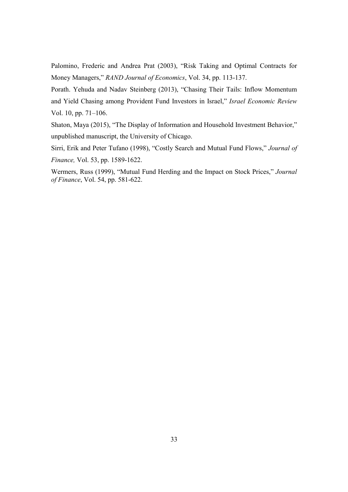Palomino, Frederic and Andrea Prat (2003), "Risk Taking and Optimal Contracts for Money Managers," *RAND Journal of Economics*, Vol. 34, pp. 113-137.

Porath. Yehuda and Nadav Steinberg (2013), "Chasing Their Tails: Inflow Momentum and Yield Chasing among Provident Fund Investors in Israel," *Israel Economic Review* Vol. 10, pp. 71–106.

Shaton, Maya (2015), "The Display of Information and Household Investment Behavior," unpublished manuscript, the University of Chicago.

Sirri, Erik and Peter Tufano (1998), "Costly Search and Mutual Fund Flows," *Journal of Finance,* Vol. 53, pp. 1589-1622.

Wermers, Russ (1999), "Mutual Fund Herding and the Impact on Stock Prices," *Journal of Finance*, Vol. 54, pp. 581-622.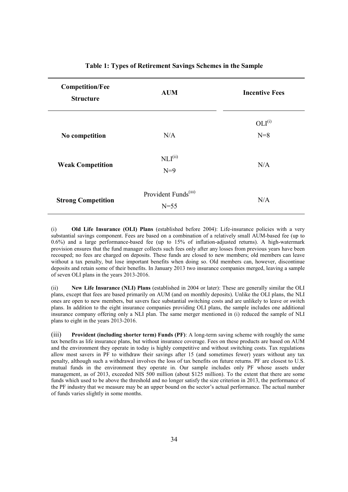| <b>Competition/Fee</b><br><b>Structure</b> | <b>AUM</b>                                 | <b>Incentive Fees</b> |
|--------------------------------------------|--------------------------------------------|-----------------------|
| No competition                             | N/A                                        | $OLI^{(i)}$<br>$N=8$  |
| <b>Weak Competition</b>                    | $\text{NLI}^{\text{(ii)}}$<br>$N=9$        | N/A                   |
| <b>Strong Competition</b>                  | Provident Funds <sup>(iii)</sup><br>$N=55$ | N/A                   |

#### **Table 1: Types of Retirement Savings Schemes in the Sample**

(i) **Old Life Insurance (OLI) Plans** (established before 2004): Life-insurance policies with a very substantial savings component. Fees are based on a combination of a relatively small AUM-based fee (up to 0.6%) and a large performance-based fee (up to 15% of inflation-adjusted returns). A high-watermark provision ensures that the fund manager collects such fees only after any losses from previous years have been recouped; no fees are charged on deposits. These funds are closed to new members; old members can leave without a tax penalty, but lose important benefits when doing so. Old members can, however, discontinue deposits and retain some of their benefits. In January 2013 two insurance companies merged, leaving a sample of seven OLI plans in the years 2013-2016.

(ii) **New Life Insurance (NLI) Plans** (established in 2004 or later): These are generally similar the OLI plans, except that fees are based primarily on AUM (and on monthly deposits). Unlike the OLI plans, the NLI ones are open to new members, but savers face substantial switching costs and are unlikely to leave or switch plans. In addition to the eight insurance companies providing OLI plans, the sample includes one additional insurance company offering only a NLI plan. The same merger mentioned in (i) reduced the sample of NLI plans to eight in the years 2013-2016.

(iii) **Provident (including shorter term) Funds (PF)**: A long-term saving scheme with roughly the same tax benefits as life insurance plans, but without insurance coverage. Fees on these products are based on AUM and the environment they operate in today is highly competitive and without switching costs. Tax regulations allow most savers in PF to withdraw their savings after 15 (and sometimes fewer) years without any tax penalty, although such a withdrawal involves the loss of tax benefits on future returns. PF are closest to U.S. mutual funds in the environment they operate in. Our sample includes only PF whose assets under management, as of 2013, exceeded NIS 500 million (about \$125 million). To the extent that there are some funds which used to be above the threshold and no longer satisfy the size criterion in 2013, the performance of the PF industry that we measure may be an upper bound on the sector's actual performance. The actual number of funds varies slightly in some months.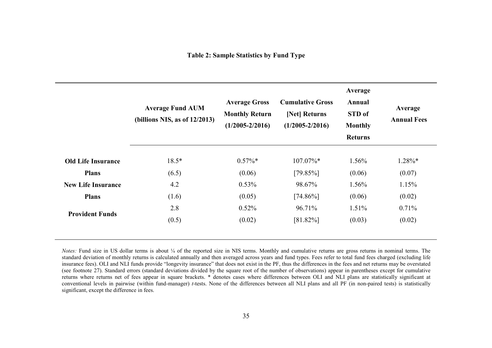|                           | <b>Average Fund AUM</b><br>(billions NIS, as of $12/2013$ ) | <b>Average Gross</b><br><b>Monthly Return</b><br>$(1/2005 - 2/2016)$ | <b>Cumulative Gross</b><br>[Net] Returns<br>$(1/2005 - 2/2016)$ | Average<br>Annual<br>STD of<br><b>Monthly</b><br><b>Returns</b> | Average<br><b>Annual Fees</b> |
|---------------------------|-------------------------------------------------------------|----------------------------------------------------------------------|-----------------------------------------------------------------|-----------------------------------------------------------------|-------------------------------|
| <b>Old Life Insurance</b> | $18.5*$                                                     | $0.57\%*$                                                            | $107.07\%*$                                                     | 1.56%                                                           | $1.28\%*$                     |
| <b>Plans</b>              | (6.5)                                                       | (0.06)                                                               | $[79.85\%]$                                                     | (0.06)                                                          | (0.07)                        |
| <b>New Life Insurance</b> | 4.2                                                         | 0.53%                                                                | 98.67%                                                          | 1.56%                                                           | 1.15%                         |
| <b>Plans</b>              | (1.6)                                                       | (0.05)                                                               | $[74.86\%]$                                                     | (0.06)                                                          | (0.02)                        |
|                           | 2.8                                                         | 0.52%                                                                | 96.71%                                                          | 1.51%                                                           | 0.71%                         |
| <b>Provident Funds</b>    | (0.5)                                                       | (0.02)                                                               | $[81.82\%]$                                                     | (0.03)                                                          | (0.02)                        |

*Notes:* Fund size in US dollar terms is about ¼ of the reported size in NIS terms. Monthly and cumulative returns are gross returns in nominal terms. The standard deviation of monthly returns is calculated annually and then averaged across years and fund types. Fees refer to total fund fees charged (excluding life insurance fees). OLI and NLI funds provide "longevity insurance" that does not exist in the PF, thus the differences in the fees and net returns may be overstated (see footnote 27). Standard errors (standard deviations divided by the square root of the number of observations) appear in parentheses except for cumulative returns where returns net of fees appear in square brackets. \* denotes cases where differences between OLI and NLI plans are statistically significant at conventional levels in pairwise (within fund-manager) *t*-tests. None of the differences between all NLI plans and all PF (in non-paired tests) is statistically significant, except the difference in fees.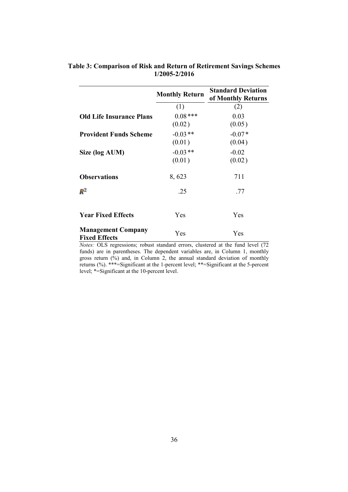|                                                   | <b>Monthly Return</b> | <b>Standard Deviation</b><br>of Monthly Returns |
|---------------------------------------------------|-----------------------|-------------------------------------------------|
|                                                   | (1)                   | (2)                                             |
| <b>Old Life Insurance Plans</b>                   | $0.08***$             | 0.03                                            |
|                                                   | (0.02)                | (0.05)                                          |
| <b>Provident Funds Scheme</b>                     | $-0.03**$             | $-0.07*$                                        |
|                                                   | (0.01)                | (0.04)                                          |
| Size (log AUM)                                    | $-0.03**$             | $-0.02$                                         |
|                                                   | (0.01)                | (0.02)                                          |
| <b>Observations</b>                               | 8,623                 | 711                                             |
| $\mathbb{R}^2$                                    | .25                   | .77                                             |
| <b>Year Fixed Effects</b>                         | Yes                   | Yes                                             |
| <b>Management Company</b><br><b>Fixed Effects</b> | Yes                   | Yes                                             |

# **Table 3: Comparison of Risk and Return of Retirement Savings Schemes 1/2005-2/2016**

*Notes:* OLS regressions; robust standard errors, clustered at the fund level (72 funds) are in parentheses. The dependent variables are, in Column 1, monthly gross return (%) and, in Column 2, the annual standard deviation of monthly returns (%). \*\*\*=Significant at the 1-percent level; \*\*=Significant at the 5-percent level; \*=Significant at the 10-percent level.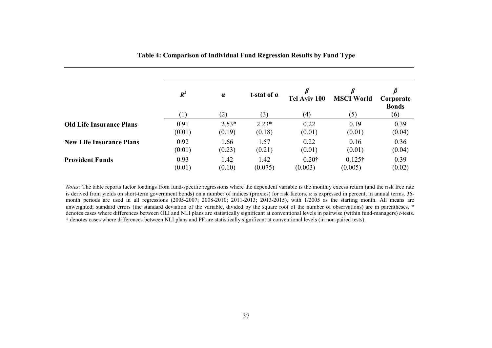|                                 | $R^2$  | $\alpha$ | t-stat of $\alpha$ | Tel Aviv 100 | B<br><b>MSCI World</b> | Corporate<br><b>Bonds</b> |
|---------------------------------|--------|----------|--------------------|--------------|------------------------|---------------------------|
|                                 |        | (2)      | (3)                | (4)          | (5)                    | (6)                       |
| <b>Old Life Insurance Plans</b> | 0.91   | $2.53*$  | $2.23*$            | 0.22         | 0.19                   | 0.39                      |
|                                 | (0.01) | (0.19)   | (0.18)             | (0.01)       | (0.01)                 | (0.04)                    |
| <b>New Life Insurance Plans</b> | 0.92   | 1.66     | 1.57               | 0.22         | 0.16                   | 0.36                      |
|                                 | (0.01) | (0.23)   | (0.21)             | (0.01)       | (0.01)                 | (0.04)                    |
| <b>Provident Funds</b>          | 0.93   | 1.42     | 1.42               | $0.20$ †     | $0.125\dagger$         | 0.39                      |
|                                 | (0.01) | (0.10)   | (0.075)            | (0.003)      | (0.005)                | (0.02)                    |

**Table 4: Comparison of Individual Fund Regression Results by Fund Type** 

*Notes:* The table reports factor loadings from fund-specific regressions where the dependent variable is the monthly excess return (and the risk free rate is derived from yields on short-term government bonds) on a number of indices (proxies) for risk factors. *α* is expressed in percent, in annual terms. 36 month periods are used in all regressions (2005-2007; 2008-2010; 2011-2013; 2013-2015), with 1/2005 as the starting month. All means are unweighted; standard errors (the standard deviation of the variable, divided by the square root of the number of observations) are in parentheses. \* denotes cases where differences between OLI and NLI plans are statistically significant at conventional levels in pairwise (within fund-managers) *t*-tests. **†** denotes cases where differences between NLI plans and PF are statistically significant at conventional levels (in non-paired tests).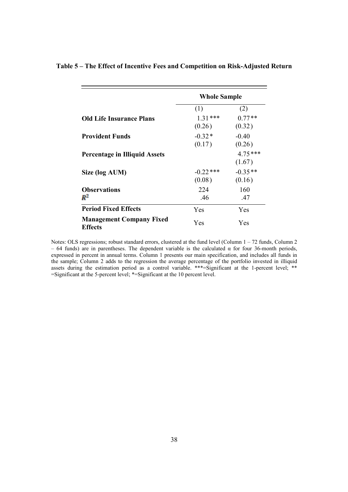|                                                   | <b>Whole Sample</b>   |                     |  |
|---------------------------------------------------|-----------------------|---------------------|--|
|                                                   | (1)                   | (2)                 |  |
| <b>Old Life Insurance Plans</b>                   | $1.31***$<br>(0.26)   | $0.77**$<br>(0.32)  |  |
| <b>Provident Funds</b>                            | $-0.32*$<br>(0.17)    | $-0.40$<br>(0.26)   |  |
| <b>Percentage in Illiquid Assets</b>              |                       | $4.75***$<br>(1.67) |  |
| Size (log AUM)                                    | $-0.22$ ***<br>(0.08) | $-0.35**$<br>(0.16) |  |
| <b>Observations</b><br>$\mathbb{R}^2$             | 224<br>.46            | 160<br>.47          |  |
| <b>Period Fixed Effects</b>                       | Yes                   | Yes                 |  |
| <b>Management Company Fixed</b><br><b>Effects</b> | Yes                   | Yes                 |  |

## **Table 5 – The Effect of Incentive Fees and Competition on Risk-Adjusted Return**

Notes: OLS regressions; robust standard errors, clustered at the fund level (Column 1 – 72 funds, Column 2 – 64 funds) are in parentheses. The dependent variable is the calculated α for four 36-month periods, expressed in percent in annual terms. Column 1 presents our main specification, and includes all funds in the sample; Column 2 adds to the regression the average percentage of the portfolio invested in illiquid assets during the estimation period as a control variable. \*\*\*=Significant at the 1-percent level; \*\* =Significant at the 5-percent level; \*=Significant at the 10 percent level.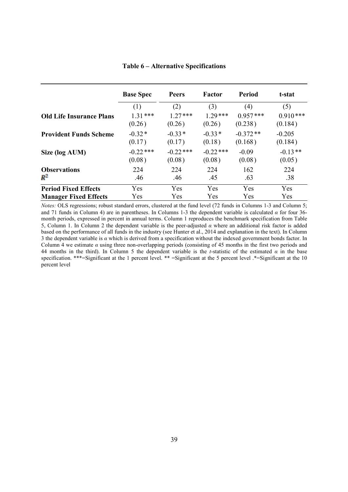|                                 | <b>Base Spec</b> | <b>Peers</b> | Factor      | Period     | t-stat     |
|---------------------------------|------------------|--------------|-------------|------------|------------|
|                                 | (1)              | (2)          | (3)         | (4)        | (5)        |
| <b>Old Life Insurance Plans</b> | $1.31***$        | $1.27***$    | $1.29***$   | $0.957***$ | $0.910***$ |
|                                 | (0.26)           | (0.26)       | (0.26)      | (0.238)    | (0.184)    |
| <b>Provident Funds Scheme</b>   | $-0.32*$         | $-0.33*$     | $-0.33*$    | $-0.372**$ | $-0.205$   |
|                                 | (0.17)           | (0.17)       | (0.18)      | (0.168)    | (0.184)    |
| Size (log AUM)                  | $-0.22$ ***      | $-0.22$ ***  | $-0.22$ *** | $-0.09$    | $-0.13**$  |
|                                 | (0.08)           | (0.08)       | (0.08)      | (0.08)     | (0.05)     |
| <b>Observations</b>             | 224              | 224          | 224         | 162        | 224        |
| $R^2$                           | .46              | .46          | .45         | .63        | .38        |
| <b>Period Fixed Effects</b>     | Yes              | Yes          | Yes         | Yes        | Yes        |
| <b>Manager Fixed Effects</b>    | Yes              | Yes          | Yes         | Yes        | Yes        |

#### **Table 6 – Alternative Specifications**

*Notes:* OLS regressions; robust standard errors, clustered at the fund level (72 funds in Columns 1-3 and Column 5; and 71 funds in Column 4) are in parentheses. In Columns 1-3 the dependent variable is calculated *α* for four 36 month periods, expressed in percent in annual terms. Column 1 reproduces the benchmark specification from Table 5, Column 1. In Column 2 the dependent variable is the peer-adjusted *α* where an additional risk factor is added based on the performance of all funds in the industry (see Hunter et al., 2014 and explanation in the text). In Column 3 the dependent variable is *α* which is derived from a specification without the indexed government bonds factor. In Column 4 we estimate *α* using three non-overlapping periods (consisting of 45 months in the first two periods and 44 months in the third). In Column 5 the dependent variable is the *t*-statistic of the estimated *α* in the base specification. \*\*\*=Significant at the 1 percent level. \*\* =Significant at the 5 percent level . \*=Significant at the 10 percent level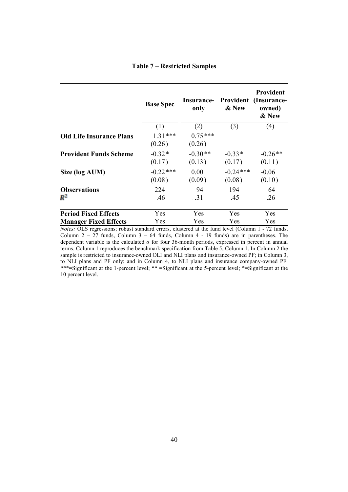|  |  | <b>Table 7 – Restricted Samples</b> |  |
|--|--|-------------------------------------|--|
|--|--|-------------------------------------|--|

|                                                                    | <b>Base Spec</b>      | only                | & New                    | <b>Provident</b><br><b>Insurance- Provident (Insurance-</b><br>owned)<br>& New |
|--------------------------------------------------------------------|-----------------------|---------------------|--------------------------|--------------------------------------------------------------------------------|
|                                                                    | (1)                   | (2)                 | (3)                      | (4)                                                                            |
| <b>Old Life Insurance Plans</b>                                    | $1.31***$<br>(0.26)   | $0.75***$<br>(0.26) |                          |                                                                                |
| <b>Provident Funds Scheme</b>                                      | $-0.32*$<br>(0.17)    | $-0.30**$<br>(0.13) | $-0.33*$<br>(0.17)       | $-0.26**$<br>(0.11)                                                            |
| Size (log AUM)                                                     | $-0.22$ ***<br>(0.08) | 0.00<br>(0.09)      | $-0.24$ ***<br>(0.08)    | $-0.06$<br>(0.10)                                                              |
| <b>Observations</b><br>$R^2$                                       | 224<br>.46            | 94<br>.31           | 194<br>.45               | 64<br>.26                                                                      |
| <b>Period Fixed Effects</b>                                        | Yes                   | Yes                 | Yes                      | Yes                                                                            |
| <b>Manager Fixed Effects</b><br>$\mathbf{r}$ $\alpha$ $\mathbf{r}$ | Yes                   | Yes                 | <b>Yes</b><br>11<br>1/21 | Yes<br>$\sim$ $\sim$                                                           |

*Notes:* OLS regressions; robust standard errors, clustered at the fund level (Column 1 - 72 funds, Column  $2 - 27$  funds, Column  $3 - 64$  funds, Column  $4 - 19$  funds) are in parentheses. The dependent variable is the calculated  $\alpha$  for four 36-month periods, expressed in percent in annual terms. Column 1 reproduces the benchmark specification from Table 5, Column 1. In Column 2 the sample is restricted to insurance-owned OLI and NLI plans and insurance-owned PF; in Column 3, to NLI plans and PF only; and in Column 4, to NLI plans and insurance company-owned PF. \*\*\*=Significant at the 1-percent level; \*\* =Significant at the 5-percent level; \*=Significant at the 10 percent level.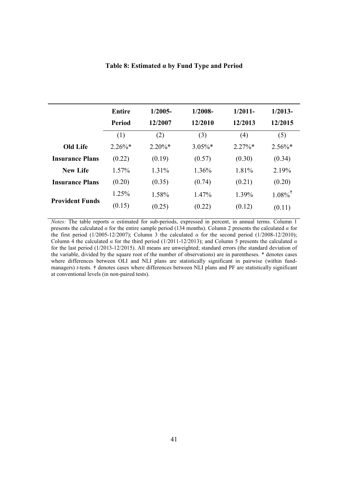|                        | Entire    | $1/2005-$ | $1/2008-$  | $1/2011-$ | $1/2013-$             |
|------------------------|-----------|-----------|------------|-----------|-----------------------|
|                        | Period    | 12/2007   | 12/2010    | 12/2013   | 12/2015               |
|                        | (1)       | (2)       | (3)        | (4)       | (5)                   |
| <b>Old Life</b>        | $2.26\%*$ | $2.20\%*$ | $3.05\%$ * | $2.27\%*$ | $2.56\%*$             |
| <b>Insurance Plans</b> | (0.22)    | (0.19)    | (0.57)     | (0.30)    | (0.34)                |
| <b>New Life</b>        | 1.57%     | 1.31%     | 1.36%      | 1.81%     | 2.19%                 |
| <b>Insurance Plans</b> | (0.20)    | (0.35)    | (0.74)     | (0.21)    | (0.20)                |
|                        | $1.25\%$  | 1.58%     | $1.47\%$   | 1.39%     | $1.08\%$ <sup>†</sup> |
| <b>Provident Funds</b> | (0.15)    | (0.25)    | (0.22)     | (0.12)    | (0.11)                |
|                        |           |           |            |           |                       |

#### **Table 8: Estimated α by Fund Type and Period**

*Notes:* The table reports  $\alpha$  estimated for sub-periods, expressed in percent, in annual terms. Column 1 presents the calculated *α* for the entire sample period (134 months). Column 2 presents the calculated *α* for the first period (1/2005-12/2007); Column 3 the calculated *α* for the second period (1/2008-12/2010); Column 4 the calculated  $\alpha$  for the third period (1/2011-12/2013); and Column 5 presents the calculated  $\alpha$ for the last period (1/2013-12/2015). All means are unweighted; standard errors (the standard deviation of the variable, divided by the square root of the number of observations) are in parentheses. \* denotes cases where differences between OLI and NLI plans are statistically significant in pairwise (within fundmanagers) *t*-tests. **†** denotes cases where differences between NLI plans and PF are statistically significant at conventional levels (in non-paired tests).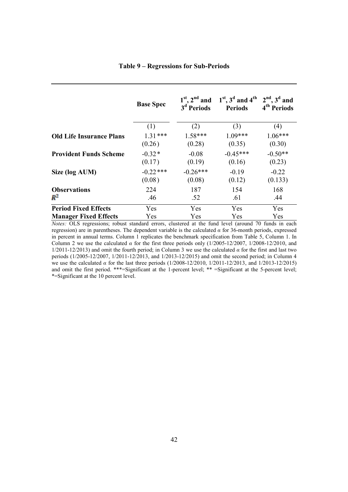|                                 | <b>Base Spec</b> | 3 <sup>d</sup> Periods | $1^{st}$ , $2^{nd}$ and $1^{st}$ , $3^d$ and $4^{th}$ $2^{nd}$ , $3^d$ and<br><b>Periods</b> | 4 <sup>th</sup> Periods |
|---------------------------------|------------------|------------------------|----------------------------------------------------------------------------------------------|-------------------------|
|                                 | (1)              | (2)                    | (3)                                                                                          | (4)                     |
| <b>Old Life Insurance Plans</b> | $1.31***$        | $1.58***$              | $1.09***$                                                                                    | $1.06***$               |
|                                 | (0.26)           | (0.28)                 | (0.35)                                                                                       | (0.30)                  |
| <b>Provident Funds Scheme</b>   | $-0.32*$         | $-0.08$                | $-0.45***$                                                                                   | $-0.50**$               |
|                                 | (0.17)           | (0.19)                 | (0.16)                                                                                       | (0.23)                  |
| Size (log AUM)                  | $-0.22$ ***      | $-0.26***$             | $-0.19$                                                                                      | $-0.22$                 |
|                                 | (0.08)           | (0.08)                 | (0.12)                                                                                       | (0.133)                 |
| <b>Observations</b>             | 224              | 187                    | 154                                                                                          | 168                     |
| $R^2$                           | .46              | .52                    | .61                                                                                          | .44                     |
| <b>Period Fixed Effects</b>     | Yes.             | Yes                    | <b>Yes</b>                                                                                   | <b>Yes</b>              |
| <b>Manager Fixed Effects</b>    | Yes.             | Yes.                   | <b>Yes</b>                                                                                   | Yes                     |

*Notes:* OLS regressions; robust standard errors, clustered at the fund level (around 70 funds in each regression) are in parentheses. The dependent variable is the calculated *α* for 36-month periods, expressed in percent in annual terms. Column 1 replicates the benchmark specification from Table 5, Column 1. In Column 2 we use the calculated  $\alpha$  for the first three periods only (1/2005-12/2007, 1/2008-12/2010, and 1/2011-12/2013) and omit the fourth period; in Column 3 we use the calculated *α* for the first and last two periods (1/2005-12/2007, 1/2011-12/2013, and 1/2013-12/2015) and omit the second period; in Column 4 we use the calculated *α* for the last three periods (1/2008-12/2010, 1/2011-12/2013, and 1/2013-12/2015) and omit the first period. \*\*\*=Significant at the 1-percent level; \*\* =Significant at the 5-percent level; \*=Significant at the 10 percent level.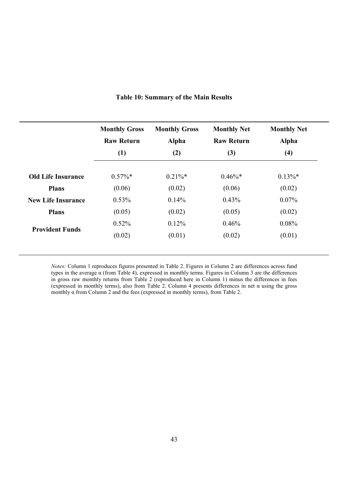|                           | <b>Monthly Gross</b><br><b>Raw Return</b> | <b>Monthly Gross</b><br>Alpha | <b>Monthly Net</b><br><b>Raw Return</b> | <b>Monthly Net</b><br>Alpha |
|---------------------------|-------------------------------------------|-------------------------------|-----------------------------------------|-----------------------------|
|                           | (1)                                       | (2)                           | (3)                                     | (4)                         |
| <b>Old Life Insurance</b> | $0.57\%$ *                                | $0.21\%$ *                    | $0.46\%*$                               | $0.13\%*$                   |
| <b>Plans</b>              | (0.06)                                    | (0.02)                        | (0.06)                                  | (0.02)                      |
| <b>New Life Insurance</b> | 0.53%                                     | 0.14%                         | 0.43%                                   | $0.07\%$                    |
| <b>Plans</b>              | (0.05)                                    | (0.02)                        | (0.05)                                  | (0.02)                      |
|                           | 0.52%                                     | 0.12%                         | 0.46%                                   | 0.08%                       |
| <b>Provident Funds</b>    | (0.02)                                    | (0.01)                        | (0.02)                                  | (0.01)                      |

# **Table 10: Summary of the Main Results**

*Notes:* Column 1 reproduces figures presented in Table 2. Figures in Column 2 are differences across fund types in the average α (from Table 4), expressed in monthly terms. Figures in Column 3 are the differences in gross raw monthly returns from Table 2 (reproduced here in Column 1) minus the differences in fees (expressed in monthly terms), also from Table 2. Column 4 presents differences in net α using the gross monthly  $\alpha$  from Column 2 and the fees (expressed in monthly terms), from Table 2.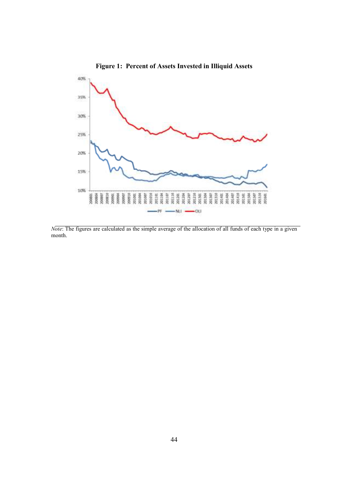

*Note*: The figures are calculated as the simple average of the allocation of all funds of each type in a given month.